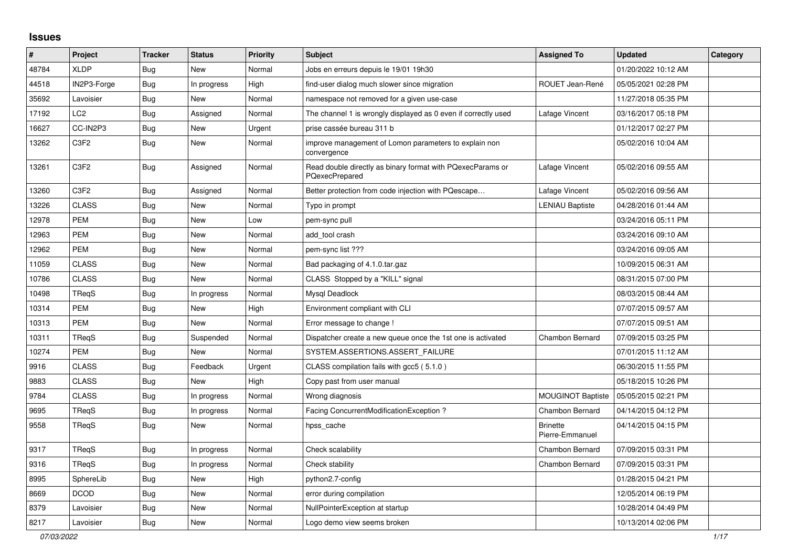## **Issues**

| #     | Project         | <b>Tracker</b> | <b>Status</b> | <b>Priority</b> | <b>Subject</b>                                                                      | <b>Assigned To</b>                 | <b>Updated</b>      | Category |
|-------|-----------------|----------------|---------------|-----------------|-------------------------------------------------------------------------------------|------------------------------------|---------------------|----------|
| 48784 | <b>XLDP</b>     | <b>Bug</b>     | <b>New</b>    | Normal          | Jobs en erreurs depuis le 19/01 19h30                                               |                                    | 01/20/2022 10:12 AM |          |
| 44518 | IN2P3-Forge     | Bug            | In progress   | High            | find-user dialog much slower since migration                                        | ROUET Jean-René                    | 05/05/2021 02:28 PM |          |
| 35692 | Lavoisier       | Bug            | <b>New</b>    | Normal          | namespace not removed for a given use-case                                          |                                    | 11/27/2018 05:35 PM |          |
| 17192 | LC <sub>2</sub> | <b>Bug</b>     | Assigned      | Normal          | The channel 1 is wrongly displayed as 0 even if correctly used                      | Lafage Vincent                     | 03/16/2017 05:18 PM |          |
| 16627 | CC-IN2P3        | Bug            | <b>New</b>    | Urgent          | prise cassée bureau 311 b                                                           |                                    | 01/12/2017 02:27 PM |          |
| 13262 | C3F2            | Bug            | <b>New</b>    | Normal          | improve management of Lomon parameters to explain non<br>convergence                |                                    | 05/02/2016 10:04 AM |          |
| 13261 | C3F2            | <b>Bug</b>     | Assigned      | Normal          | Read double directly as binary format with PQexecParams or<br><b>PQexecPrepared</b> | Lafage Vincent                     | 05/02/2016 09:55 AM |          |
| 13260 | C3F2            | <b>Bug</b>     | Assigned      | Normal          | Better protection from code injection with PQescape                                 | Lafage Vincent                     | 05/02/2016 09:56 AM |          |
| 13226 | <b>CLASS</b>    | Bug            | <b>New</b>    | Normal          | Typo in prompt                                                                      | <b>LENIAU Baptiste</b>             | 04/28/2016 01:44 AM |          |
| 12978 | <b>PEM</b>      | Bug            | <b>New</b>    | Low             | pem-sync pull                                                                       |                                    | 03/24/2016 05:11 PM |          |
| 12963 | <b>PEM</b>      | <b>Bug</b>     | <b>New</b>    | Normal          | add_tool crash                                                                      |                                    | 03/24/2016 09:10 AM |          |
| 12962 | <b>PEM</b>      | <b>Bug</b>     | <b>New</b>    | Normal          | pem-sync list ???                                                                   |                                    | 03/24/2016 09:05 AM |          |
| 11059 | <b>CLASS</b>    | Bug            | <b>New</b>    | Normal          | Bad packaging of 4.1.0.tar.gaz                                                      |                                    | 10/09/2015 06:31 AM |          |
| 10786 | <b>CLASS</b>    | <b>Bug</b>     | <b>New</b>    | Normal          | CLASS Stopped by a "KILL" signal                                                    |                                    | 08/31/2015 07:00 PM |          |
| 10498 | TRegS           | <b>Bug</b>     | In progress   | Normal          | Mysql Deadlock                                                                      |                                    | 08/03/2015 08:44 AM |          |
| 10314 | <b>PEM</b>      | Bug            | <b>New</b>    | High            | Environment compliant with CLI                                                      |                                    | 07/07/2015 09:57 AM |          |
| 10313 | <b>PEM</b>      | Bug            | <b>New</b>    | Normal          | Error message to change !                                                           |                                    | 07/07/2015 09:51 AM |          |
| 10311 | TRegS           | <b>Bug</b>     | Suspended     | Normal          | Dispatcher create a new queue once the 1st one is activated                         | Chambon Bernard                    | 07/09/2015 03:25 PM |          |
| 10274 | <b>PEM</b>      | Bug            | <b>New</b>    | Normal          | SYSTEM.ASSERTIONS.ASSERT_FAILURE                                                    |                                    | 07/01/2015 11:12 AM |          |
| 9916  | <b>CLASS</b>    | Bug            | Feedback      | Urgent          | CLASS compilation fails with gcc5 (5.1.0)                                           |                                    | 06/30/2015 11:55 PM |          |
| 9883  | <b>CLASS</b>    | <b>Bug</b>     | <b>New</b>    | High            | Copy past from user manual                                                          |                                    | 05/18/2015 10:26 PM |          |
| 9784  | <b>CLASS</b>    | <b>Bug</b>     | In progress   | Normal          | Wrong diagnosis                                                                     | MOUGINOT Baptiste                  | 05/05/2015 02:21 PM |          |
| 9695  | TRegS           | <b>Bug</b>     | In progress   | Normal          | Facing ConcurrentModificationException?                                             | Chambon Bernard                    | 04/14/2015 04:12 PM |          |
| 9558  | TRegS           | <b>Bug</b>     | New           | Normal          | hpss cache                                                                          | <b>Brinette</b><br>Pierre-Emmanuel | 04/14/2015 04:15 PM |          |
| 9317  | TRegS           | Bug            | In progress   | Normal          | Check scalability                                                                   | Chambon Bernard                    | 07/09/2015 03:31 PM |          |
| 9316  | TReaS           | Bug            | In progress   | Normal          | Check stability                                                                     | Chambon Bernard                    | 07/09/2015 03:31 PM |          |
| 8995  | SphereLib       | Bug            | <b>New</b>    | High            | python2.7-config                                                                    |                                    | 01/28/2015 04:21 PM |          |
| 8669  | <b>DCOD</b>     | <b>Bug</b>     | <b>New</b>    | Normal          | error during compilation                                                            |                                    | 12/05/2014 06:19 PM |          |
| 8379  | Lavoisier       | <b>Bug</b>     | <b>New</b>    | Normal          | NullPointerException at startup                                                     |                                    | 10/28/2014 04:49 PM |          |
| 8217  | Lavoisier       | <b>Bug</b>     | <b>New</b>    | Normal          | Logo demo view seems broken                                                         |                                    | 10/13/2014 02:06 PM |          |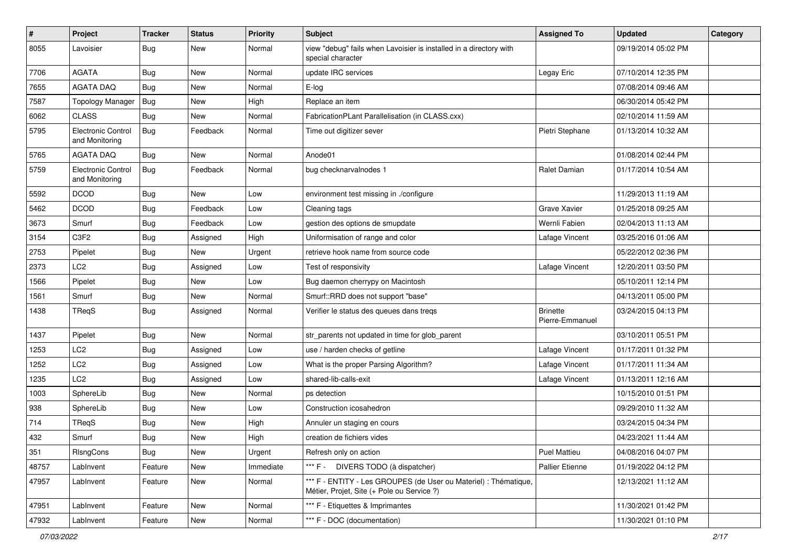| $\vert$ # | Project                              | <b>Tracker</b> | <b>Status</b> | <b>Priority</b> | Subject                                                                                                        | <b>Assigned To</b>                 | <b>Updated</b>      | Category |
|-----------|--------------------------------------|----------------|---------------|-----------------|----------------------------------------------------------------------------------------------------------------|------------------------------------|---------------------|----------|
| 8055      | Lavoisier                            | Bug            | New           | Normal          | view "debug" fails when Lavoisier is installed in a directory with<br>special character                        |                                    | 09/19/2014 05:02 PM |          |
| 7706      | <b>AGATA</b>                         | Bug            | New           | Normal          | update IRC services                                                                                            | Legay Eric                         | 07/10/2014 12:35 PM |          |
| 7655      | <b>AGATA DAQ</b>                     | Bug            | <b>New</b>    | Normal          | E-log                                                                                                          |                                    | 07/08/2014 09:46 AM |          |
| 7587      | <b>Topology Manager</b>              | Bug            | New           | High            | Replace an item                                                                                                |                                    | 06/30/2014 05:42 PM |          |
| 6062      | <b>CLASS</b>                         | Bug            | <b>New</b>    | Normal          | FabricationPLant Parallelisation (in CLASS.cxx)                                                                |                                    | 02/10/2014 11:59 AM |          |
| 5795      | Electronic Control<br>and Monitoring | Bug            | Feedback      | Normal          | Time out digitizer sever                                                                                       | Pietri Stephane                    | 01/13/2014 10:32 AM |          |
| 5765      | <b>AGATA DAQ</b>                     | Bug            | <b>New</b>    | Normal          | Anode01                                                                                                        |                                    | 01/08/2014 02:44 PM |          |
| 5759      | Electronic Control<br>and Monitoring | <b>Bug</b>     | Feedback      | Normal          | bug checknarvalnodes 1                                                                                         | Ralet Damian                       | 01/17/2014 10:54 AM |          |
| 5592      | <b>DCOD</b>                          | Bug            | <b>New</b>    | Low             | environment test missing in ./configure                                                                        |                                    | 11/29/2013 11:19 AM |          |
| 5462      | <b>DCOD</b>                          | Bug            | Feedback      | Low             | Cleaning tags                                                                                                  | <b>Grave Xavier</b>                | 01/25/2018 09:25 AM |          |
| 3673      | Smurf                                | <b>Bug</b>     | Feedback      | Low             | gestion des options de smupdate                                                                                | Wernli Fabien                      | 02/04/2013 11:13 AM |          |
| 3154      | C3F2                                 | Bug            | Assigned      | High            | Uniformisation of range and color                                                                              | Lafage Vincent                     | 03/25/2016 01:06 AM |          |
| 2753      | Pipelet                              | Bug            | <b>New</b>    | Urgent          | retrieve hook name from source code                                                                            |                                    | 05/22/2012 02:36 PM |          |
| 2373      | LC <sub>2</sub>                      | Bug            | Assigned      | Low             | Test of responsivity                                                                                           | Lafage Vincent                     | 12/20/2011 03:50 PM |          |
| 1566      | Pipelet                              | Bug            | <b>New</b>    | Low             | Bug daemon cherrypy on Macintosh                                                                               |                                    | 05/10/2011 12:14 PM |          |
| 1561      | Smurf                                | Bug            | <b>New</b>    | Normal          | Smurf::RRD does not support "base"                                                                             |                                    | 04/13/2011 05:00 PM |          |
| 1438      | TReqS                                | Bug            | Assigned      | Normal          | Verifier le status des queues dans treqs                                                                       | <b>Brinette</b><br>Pierre-Emmanuel | 03/24/2015 04:13 PM |          |
| 1437      | Pipelet                              | Bug            | <b>New</b>    | Normal          | str_parents not updated in time for glob_parent                                                                |                                    | 03/10/2011 05:51 PM |          |
| 1253      | LC <sub>2</sub>                      | <b>Bug</b>     | Assigned      | Low             | use / harden checks of getline                                                                                 | Lafage Vincent                     | 01/17/2011 01:32 PM |          |
| 1252      | LC <sub>2</sub>                      | Bug            | Assigned      | Low             | What is the proper Parsing Algorithm?                                                                          | Lafage Vincent                     | 01/17/2011 11:34 AM |          |
| 1235      | LC <sub>2</sub>                      | Bug            | Assigned      | Low             | shared-lib-calls-exit                                                                                          | Lafage Vincent                     | 01/13/2011 12:16 AM |          |
| 1003      | SphereLib                            | Bug            | New           | Normal          | ps detection                                                                                                   |                                    | 10/15/2010 01:51 PM |          |
| 938       | SphereLib                            | <b>Bug</b>     | New           | Low             | Construction icosahedron                                                                                       |                                    | 09/29/2010 11:32 AM |          |
| 714       | TReqS                                | <b>Bug</b>     | <b>New</b>    | High            | Annuler un staging en cours                                                                                    |                                    | 03/24/2015 04:34 PM |          |
| 432       | Smurf                                | Bug            | New           | High            | creation de fichiers vides                                                                                     |                                    | 04/23/2021 11:44 AM |          |
| 351       | RIsngCons                            | Bug            | New           | Urgent          | Refresh only on action                                                                                         | Puel Mattieu                       | 04/08/2016 04:07 PM |          |
| 48757     | LabInvent                            | Feature        | New           | Immediate       | *** F - DIVERS TODO (à dispatcher)                                                                             | Pallier Etienne                    | 01/19/2022 04:12 PM |          |
| 47957     | LabInvent                            | Feature        | New           | Normal          | *** F - ENTITY - Les GROUPES (de User ou Materiel) : Thématique,<br>Métier, Projet, Site (+ Pole ou Service ?) |                                    | 12/13/2021 11:12 AM |          |
| 47951     | LabInvent                            | Feature        | New           | Normal          | *** F - Etiquettes & Imprimantes                                                                               |                                    | 11/30/2021 01:42 PM |          |
| 47932     | LabInvent                            | Feature        | New           | Normal          | *** F - DOC (documentation)                                                                                    |                                    | 11/30/2021 01:10 PM |          |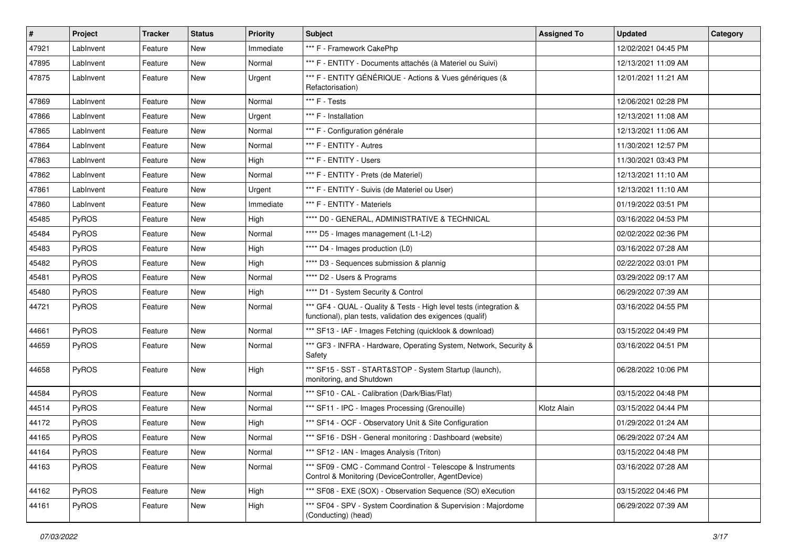| #     | <b>Project</b> | <b>Tracker</b> | <b>Status</b> | <b>Priority</b> | <b>Subject</b>                                                                                                                   | <b>Assigned To</b> | <b>Updated</b>      | Category |
|-------|----------------|----------------|---------------|-----------------|----------------------------------------------------------------------------------------------------------------------------------|--------------------|---------------------|----------|
| 47921 | LabInvent      | Feature        | New           | Immediate       | *** F - Framework CakePhp                                                                                                        |                    | 12/02/2021 04:45 PM |          |
| 47895 | LabInvent      | Feature        | <b>New</b>    | Normal          | *** F - ENTITY - Documents attachés (à Materiel ou Suivi)                                                                        |                    | 12/13/2021 11:09 AM |          |
| 47875 | LabInvent      | Feature        | New           | Urgent          | *** F - ENTITY GÉNÉRIQUE - Actions & Vues génériques (&<br>Refactorisation)                                                      |                    | 12/01/2021 11:21 AM |          |
| 47869 | LabInvent      | Feature        | <b>New</b>    | Normal          | *** F - Tests                                                                                                                    |                    | 12/06/2021 02:28 PM |          |
| 47866 | LabInvent      | Feature        | New           | Urgent          | *** F - Installation                                                                                                             |                    | 12/13/2021 11:08 AM |          |
| 47865 | LabInvent      | Feature        | New           | Normal          | *** F - Configuration générale                                                                                                   |                    | 12/13/2021 11:06 AM |          |
| 47864 | LabInvent      | Feature        | New           | Normal          | *** F - ENTITY - Autres                                                                                                          |                    | 11/30/2021 12:57 PM |          |
| 47863 | LabInvent      | Feature        | New           | High            | *** F - ENTITY - Users                                                                                                           |                    | 11/30/2021 03:43 PM |          |
| 47862 | LabInvent      | Feature        | <b>New</b>    | Normal          | *** F - ENTITY - Prets (de Materiel)                                                                                             |                    | 12/13/2021 11:10 AM |          |
| 47861 | LabInvent      | Feature        | New           | Urgent          | *** F - ENTITY - Suivis (de Materiel ou User)                                                                                    |                    | 12/13/2021 11:10 AM |          |
| 47860 | LabInvent      | Feature        | <b>New</b>    | Immediate       | *** F - ENTITY - Materiels                                                                                                       |                    | 01/19/2022 03:51 PM |          |
| 45485 | <b>PyROS</b>   | Feature        | New           | High            | **** D0 - GENERAL, ADMINISTRATIVE & TECHNICAL                                                                                    |                    | 03/16/2022 04:53 PM |          |
| 45484 | PyROS          | Feature        | New           | Normal          | **** D5 - Images management (L1-L2)                                                                                              |                    | 02/02/2022 02:36 PM |          |
| 45483 | PyROS          | Feature        | New           | High            | **** D4 - Images production (L0)                                                                                                 |                    | 03/16/2022 07:28 AM |          |
| 45482 | <b>PyROS</b>   | Feature        | New           | High            | **** D3 - Sequences submission & plannig                                                                                         |                    | 02/22/2022 03:01 PM |          |
| 45481 | PyROS          | Feature        | New           | Normal          | **** D2 - Users & Programs                                                                                                       |                    | 03/29/2022 09:17 AM |          |
| 45480 | PyROS          | Feature        | New           | High            | **** D1 - System Security & Control                                                                                              |                    | 06/29/2022 07:39 AM |          |
| 44721 | PyROS          | Feature        | New           | Normal          | *** GF4 - QUAL - Quality & Tests - High level tests (integration &<br>functional), plan tests, validation des exigences (qualif) |                    | 03/16/2022 04:55 PM |          |
| 44661 | PyROS          | Feature        | New           | Normal          | *** SF13 - IAF - Images Fetching (quicklook & download)                                                                          |                    | 03/15/2022 04:49 PM |          |
| 44659 | <b>PyROS</b>   | Feature        | New           | Normal          | *** GF3 - INFRA - Hardware, Operating System, Network, Security &<br>Safety                                                      |                    | 03/16/2022 04:51 PM |          |
| 44658 | PyROS          | Feature        | New           | High            | *** SF15 - SST - START&STOP - System Startup (launch),<br>monitoring, and Shutdown                                               |                    | 06/28/2022 10:06 PM |          |
| 44584 | PyROS          | Feature        | New           | Normal          | *** SF10 - CAL - Calibration (Dark/Bias/Flat)                                                                                    |                    | 03/15/2022 04:48 PM |          |
| 44514 | <b>PyROS</b>   | Feature        | New           | Normal          | *** SF11 - IPC - Images Processing (Grenouille)                                                                                  | Klotz Alain        | 03/15/2022 04:44 PM |          |
| 44172 | PyROS          | Feature        | New           | High            | *** SF14 - OCF - Observatory Unit & Site Configuration                                                                           |                    | 01/29/2022 01:24 AM |          |
| 44165 | <b>PyROS</b>   | Feature        | New           | Normal          | *** SF16 - DSH - General monitoring: Dashboard (website)                                                                         |                    | 06/29/2022 07:24 AM |          |
| 44164 | PyROS          | Feature        | New           | Normal          | *** SF12 - IAN - Images Analysis (Triton)                                                                                        |                    | 03/15/2022 04:48 PM |          |
| 44163 | <b>PyROS</b>   | Feature        | New           | Normal          | *** SF09 - CMC - Command Control - Telescope & Instruments<br>Control & Monitoring (DeviceController, AgentDevice)               |                    | 03/16/2022 07:28 AM |          |
| 44162 | PyROS          | Feature        | New           | High            | *** SF08 - EXE (SOX) - Observation Sequence (SO) eXecution                                                                       |                    | 03/15/2022 04:46 PM |          |
| 44161 | PyROS          | Feature        | New           | High            | *** SF04 - SPV - System Coordination & Supervision : Majordome<br>(Conducting) (head)                                            |                    | 06/29/2022 07:39 AM |          |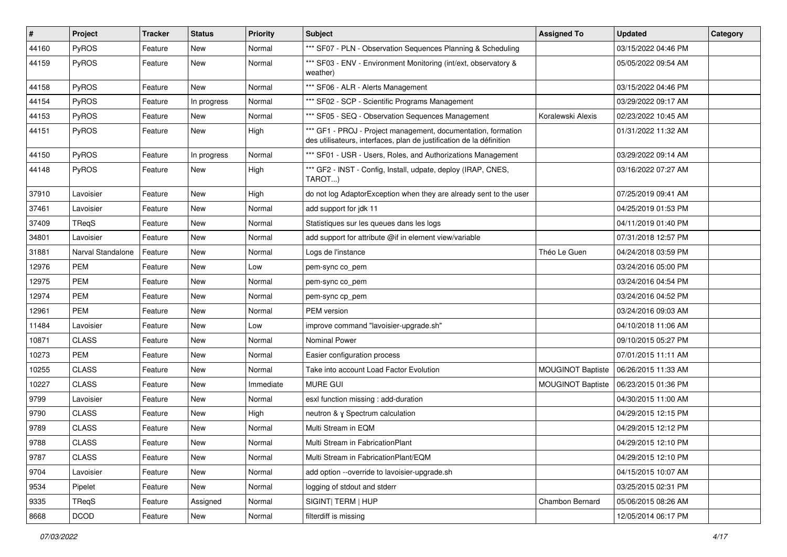| $\vert$ # | Project           | <b>Tracker</b> | <b>Status</b> | <b>Priority</b> | <b>Subject</b>                                                                                                                        | <b>Assigned To</b>       | <b>Updated</b>      | Category |
|-----------|-------------------|----------------|---------------|-----------------|---------------------------------------------------------------------------------------------------------------------------------------|--------------------------|---------------------|----------|
| 44160     | PyROS             | Feature        | New           | Normal          | *** SF07 - PLN - Observation Sequences Planning & Scheduling                                                                          |                          | 03/15/2022 04:46 PM |          |
| 44159     | PyROS             | Feature        | New           | Normal          | *** SF03 - ENV - Environment Monitoring (int/ext, observatory &<br>weather)                                                           |                          | 05/05/2022 09:54 AM |          |
| 44158     | PyROS             | Feature        | <b>New</b>    | Normal          | *** SF06 - ALR - Alerts Management                                                                                                    |                          | 03/15/2022 04:46 PM |          |
| 44154     | PyROS             | Feature        | In progress   | Normal          | *** SF02 - SCP - Scientific Programs Management                                                                                       |                          | 03/29/2022 09:17 AM |          |
| 44153     | PyROS             | Feature        | New           | Normal          | *** SF05 - SEQ - Observation Sequences Management                                                                                     | Koralewski Alexis        | 02/23/2022 10:45 AM |          |
| 44151     | PyROS             | Feature        | New           | High            | *** GF1 - PROJ - Project management, documentation, formation<br>des utilisateurs, interfaces, plan de justification de la définition |                          | 01/31/2022 11:32 AM |          |
| 44150     | PyROS             | Feature        | In progress   | Normal          | *** SF01 - USR - Users, Roles, and Authorizations Management                                                                          |                          | 03/29/2022 09:14 AM |          |
| 44148     | PyROS             | Feature        | New           | High            | *** GF2 - INST - Config, Install, udpate, deploy (IRAP, CNES,<br>TAROT…)                                                              |                          | 03/16/2022 07:27 AM |          |
| 37910     | Lavoisier         | Feature        | New           | High            | do not log AdaptorException when they are already sent to the user                                                                    |                          | 07/25/2019 09:41 AM |          |
| 37461     | Lavoisier         | Feature        | <b>New</b>    | Normal          | add support for jdk 11                                                                                                                |                          | 04/25/2019 01:53 PM |          |
| 37409     | TReqS             | Feature        | New           | Normal          | Statistiques sur les queues dans les logs                                                                                             |                          | 04/11/2019 01:40 PM |          |
| 34801     | Lavoisier         | Feature        | <b>New</b>    | Normal          | add support for attribute @if in element view/variable                                                                                |                          | 07/31/2018 12:57 PM |          |
| 31881     | Narval Standalone | Feature        | New           | Normal          | Logs de l'instance                                                                                                                    | Théo Le Guen             | 04/24/2018 03:59 PM |          |
| 12976     | <b>PEM</b>        | Feature        | New           | Low             | pem-sync co_pem                                                                                                                       |                          | 03/24/2016 05:00 PM |          |
| 12975     | <b>PEM</b>        | Feature        | <b>New</b>    | Normal          | pem-sync co_pem                                                                                                                       |                          | 03/24/2016 04:54 PM |          |
| 12974     | PEM               | Feature        | New           | Normal          | pem-sync cp_pem                                                                                                                       |                          | 03/24/2016 04:52 PM |          |
| 12961     | <b>PEM</b>        | Feature        | New           | Normal          | PEM version                                                                                                                           |                          | 03/24/2016 09:03 AM |          |
| 11484     | Lavoisier         | Feature        | New           | Low             | improve command "lavoisier-upgrade.sh"                                                                                                |                          | 04/10/2018 11:06 AM |          |
| 10871     | <b>CLASS</b>      | Feature        | <b>New</b>    | Normal          | <b>Nominal Power</b>                                                                                                                  |                          | 09/10/2015 05:27 PM |          |
| 10273     | <b>PEM</b>        | Feature        | New           | Normal          | Easier configuration process                                                                                                          |                          | 07/01/2015 11:11 AM |          |
| 10255     | <b>CLASS</b>      | Feature        | New           | Normal          | Take into account Load Factor Evolution                                                                                               | <b>MOUGINOT Baptiste</b> | 06/26/2015 11:33 AM |          |
| 10227     | <b>CLASS</b>      | Feature        | New           | Immediate       | <b>MURE GUI</b>                                                                                                                       | <b>MOUGINOT Baptiste</b> | 06/23/2015 01:36 PM |          |
| 9799      | Lavoisier         | Feature        | <b>New</b>    | Normal          | esxl function missing : add-duration                                                                                                  |                          | 04/30/2015 11:00 AM |          |
| 9790      | <b>CLASS</b>      | Feature        | New           | High            | neutron & y Spectrum calculation                                                                                                      |                          | 04/29/2015 12:15 PM |          |
| 9789      | <b>CLASS</b>      | Feature        | New           | Normal          | Multi Stream in EQM                                                                                                                   |                          | 04/29/2015 12:12 PM |          |
| 9788      | <b>CLASS</b>      | Feature        | New           | Normal          | Multi Stream in FabricationPlant                                                                                                      |                          | 04/29/2015 12:10 PM |          |
| 9787      | <b>CLASS</b>      | Feature        | New           | Normal          | Multi Stream in FabricationPlant/EQM                                                                                                  |                          | 04/29/2015 12:10 PM |          |
| 9704      | Lavoisier         | Feature        | New           | Normal          | add option --override to lavoisier-upgrade.sh                                                                                         |                          | 04/15/2015 10:07 AM |          |
| 9534      | Pipelet           | Feature        | New           | Normal          | logging of stdout and stderr                                                                                                          |                          | 03/25/2015 02:31 PM |          |
| 9335      | TReqS             | Feature        | Assigned      | Normal          | SIGINT  TERM   HUP                                                                                                                    | Chambon Bernard          | 05/06/2015 08:26 AM |          |
| 8668      | <b>DCOD</b>       | Feature        | New           | Normal          | filterdiff is missing                                                                                                                 |                          | 12/05/2014 06:17 PM |          |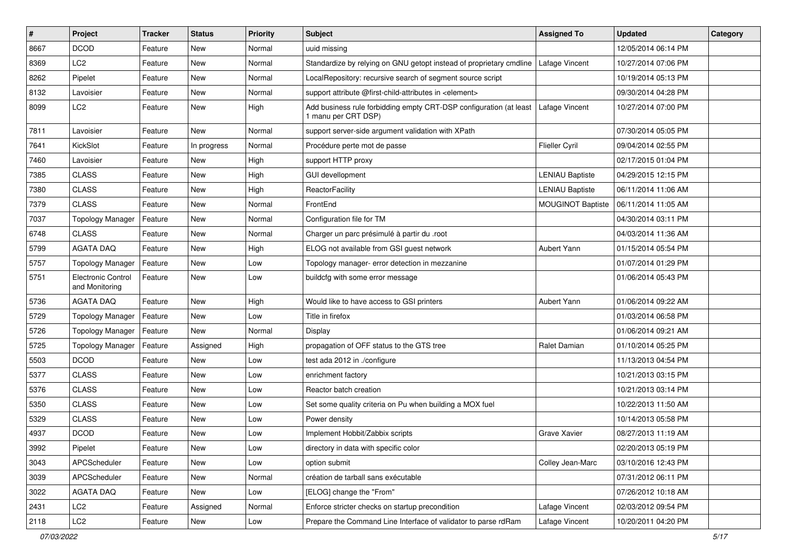| $\vert$ # | Project                              | <b>Tracker</b> | <b>Status</b> | <b>Priority</b> | Subject                                                                                   | <b>Assigned To</b>       | <b>Updated</b>      | Category |
|-----------|--------------------------------------|----------------|---------------|-----------------|-------------------------------------------------------------------------------------------|--------------------------|---------------------|----------|
| 8667      | <b>DCOD</b>                          | Feature        | <b>New</b>    | Normal          | uuid missing                                                                              |                          | 12/05/2014 06:14 PM |          |
| 8369      | LC <sub>2</sub>                      | Feature        | <b>New</b>    | Normal          | Standardize by relying on GNU getopt instead of proprietary cmdline                       | Lafage Vincent           | 10/27/2014 07:06 PM |          |
| 8262      | Pipelet                              | Feature        | <b>New</b>    | Normal          | LocalRepository: recursive search of segment source script                                |                          | 10/19/2014 05:13 PM |          |
| 8132      | Lavoisier                            | Feature        | New           | Normal          | support attribute @first-child-attributes in <element></element>                          |                          | 09/30/2014 04:28 PM |          |
| 8099      | LC <sub>2</sub>                      | Feature        | <b>New</b>    | High            | Add business rule forbidding empty CRT-DSP configuration (at least<br>1 manu per CRT DSP) | Lafage Vincent           | 10/27/2014 07:00 PM |          |
| 7811      | Lavoisier                            | Feature        | <b>New</b>    | Normal          | support server-side argument validation with XPath                                        |                          | 07/30/2014 05:05 PM |          |
| 7641      | KickSlot                             | Feature        | In progress   | Normal          | Procédure perte mot de passe                                                              | Flieller Cyril           | 09/04/2014 02:55 PM |          |
| 7460      | Lavoisier                            | Feature        | New           | High            | support HTTP proxy                                                                        |                          | 02/17/2015 01:04 PM |          |
| 7385      | <b>CLASS</b>                         | Feature        | <b>New</b>    | High            | <b>GUI devellopment</b>                                                                   | <b>LENIAU Baptiste</b>   | 04/29/2015 12:15 PM |          |
| 7380      | <b>CLASS</b>                         | Feature        | New           | High            | ReactorFacility                                                                           | <b>LENIAU Baptiste</b>   | 06/11/2014 11:06 AM |          |
| 7379      | <b>CLASS</b>                         | Feature        | New           | Normal          | FrontEnd                                                                                  | <b>MOUGINOT Baptiste</b> | 06/11/2014 11:05 AM |          |
| 7037      | <b>Topology Manager</b>              | Feature        | New           | Normal          | Configuration file for TM                                                                 |                          | 04/30/2014 03:11 PM |          |
| 6748      | <b>CLASS</b>                         | Feature        | New           | Normal          | Charger un parc présimulé à partir du .root                                               |                          | 04/03/2014 11:36 AM |          |
| 5799      | <b>AGATA DAQ</b>                     | Feature        | <b>New</b>    | High            | ELOG not available from GSI guest network                                                 | Aubert Yann              | 01/15/2014 05:54 PM |          |
| 5757      | <b>Topology Manager</b>              | Feature        | New           | Low             | Topology manager- error detection in mezzanine                                            |                          | 01/07/2014 01:29 PM |          |
| 5751      | Electronic Control<br>and Monitoring | Feature        | New           | Low             | buildcfg with some error message                                                          |                          | 01/06/2014 05:43 PM |          |
| 5736      | <b>AGATA DAQ</b>                     | Feature        | <b>New</b>    | High            | Would like to have access to GSI printers                                                 | Aubert Yann              | 01/06/2014 09:22 AM |          |
| 5729      | <b>Topology Manager</b>              | Feature        | <b>New</b>    | Low             | Title in firefox                                                                          |                          | 01/03/2014 06:58 PM |          |
| 5726      | <b>Topology Manager</b>              | Feature        | <b>New</b>    | Normal          | Display                                                                                   |                          | 01/06/2014 09:21 AM |          |
| 5725      | <b>Topology Manager</b>              | Feature        | Assigned      | High            | propagation of OFF status to the GTS tree                                                 | Ralet Damian             | 01/10/2014 05:25 PM |          |
| 5503      | <b>DCOD</b>                          | Feature        | <b>New</b>    | Low             | test ada 2012 in ./configure                                                              |                          | 11/13/2013 04:54 PM |          |
| 5377      | <b>CLASS</b>                         | Feature        | New           | Low             | enrichment factory                                                                        |                          | 10/21/2013 03:15 PM |          |
| 5376      | <b>CLASS</b>                         | Feature        | New           | Low             | Reactor batch creation                                                                    |                          | 10/21/2013 03:14 PM |          |
| 5350      | <b>CLASS</b>                         | Feature        | <b>New</b>    | Low             | Set some quality criteria on Pu when building a MOX fuel                                  |                          | 10/22/2013 11:50 AM |          |
| 5329      | <b>CLASS</b>                         | Feature        | <b>New</b>    | Low             | Power density                                                                             |                          | 10/14/2013 05:58 PM |          |
| 4937      | <b>DCOD</b>                          | Feature        | New           | Low             | Implement Hobbit/Zabbix scripts                                                           | <b>Grave Xavier</b>      | 08/27/2013 11:19 AM |          |
| 3992      | Pipelet                              | Feature        | New           | Low             | directory in data with specific color                                                     |                          | 02/20/2013 05:19 PM |          |
| 3043      | APCScheduler                         | Feature        | New           | Low             | option submit                                                                             | Colley Jean-Marc         | 03/10/2016 12:43 PM |          |
| 3039      | APCScheduler                         | Feature        | New           | Normal          | création de tarball sans exécutable                                                       |                          | 07/31/2012 06:11 PM |          |
| 3022      | <b>AGATA DAQ</b>                     | Feature        | New           | Low             | [ELOG] change the "From"                                                                  |                          | 07/26/2012 10:18 AM |          |
| 2431      | LC <sub>2</sub>                      | Feature        | Assigned      | Normal          | Enforce stricter checks on startup precondition                                           | Lafage Vincent           | 02/03/2012 09:54 PM |          |
| 2118      | LC <sub>2</sub>                      | Feature        | New           | Low             | Prepare the Command Line Interface of validator to parse rdRam                            | Lafage Vincent           | 10/20/2011 04:20 PM |          |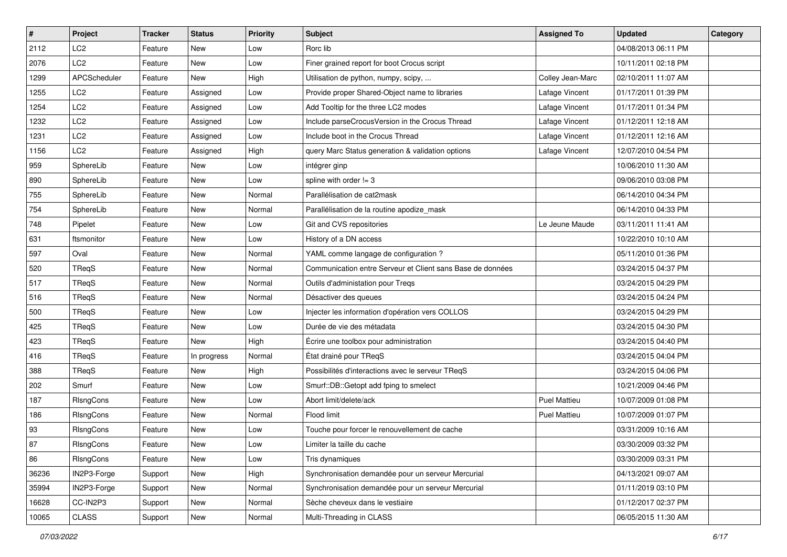| $\vert$ # | Project         | <b>Tracker</b> | <b>Status</b> | <b>Priority</b> | <b>Subject</b>                                             | <b>Assigned To</b>  | <b>Updated</b>      | Category |
|-----------|-----------------|----------------|---------------|-----------------|------------------------------------------------------------|---------------------|---------------------|----------|
| 2112      | LC <sub>2</sub> | Feature        | New           | Low             | Rorc lib                                                   |                     | 04/08/2013 06:11 PM |          |
| 2076      | LC <sub>2</sub> | Feature        | <b>New</b>    | Low             | Finer grained report for boot Crocus script                |                     | 10/11/2011 02:18 PM |          |
| 1299      | APCScheduler    | Feature        | <b>New</b>    | High            | Utilisation de python, numpy, scipy,                       | Colley Jean-Marc    | 02/10/2011 11:07 AM |          |
| 1255      | LC <sub>2</sub> | Feature        | Assigned      | Low             | Provide proper Shared-Object name to libraries             | Lafage Vincent      | 01/17/2011 01:39 PM |          |
| 1254      | LC <sub>2</sub> | Feature        | Assigned      | Low             | Add Tooltip for the three LC2 modes                        | Lafage Vincent      | 01/17/2011 01:34 PM |          |
| 1232      | LC <sub>2</sub> | Feature        | Assigned      | Low             | Include parseCrocusVersion in the Crocus Thread            | Lafage Vincent      | 01/12/2011 12:18 AM |          |
| 1231      | LC <sub>2</sub> | Feature        | Assigned      | Low             | Include boot in the Crocus Thread                          | Lafage Vincent      | 01/12/2011 12:16 AM |          |
| 1156      | LC <sub>2</sub> | Feature        | Assigned      | High            | query Marc Status generation & validation options          | Lafage Vincent      | 12/07/2010 04:54 PM |          |
| 959       | SphereLib       | Feature        | New           | Low             | intégrer ginp                                              |                     | 10/06/2010 11:30 AM |          |
| 890       | SphereLib       | Feature        | <b>New</b>    | Low             | spline with order $!= 3$                                   |                     | 09/06/2010 03:08 PM |          |
| 755       | SphereLib       | Feature        | New           | Normal          | Parallélisation de cat2mask                                |                     | 06/14/2010 04:34 PM |          |
| 754       | SphereLib       | Feature        | New           | Normal          | Parallélisation de la routine apodize_mask                 |                     | 06/14/2010 04:33 PM |          |
| 748       | Pipelet         | Feature        | New           | Low             | Git and CVS repositories                                   | Le Jeune Maude      | 03/11/2011 11:41 AM |          |
| 631       | ftsmonitor      | Feature        | <b>New</b>    | Low             | History of a DN access                                     |                     | 10/22/2010 10:10 AM |          |
| 597       | Oval            | Feature        | <b>New</b>    | Normal          | YAML comme langage de configuration ?                      |                     | 05/11/2010 01:36 PM |          |
| 520       | TReqS           | Feature        | New           | Normal          | Communication entre Serveur et Client sans Base de données |                     | 03/24/2015 04:37 PM |          |
| 517       | TReqS           | Feature        | New           | Normal          | Outils d'administation pour Treqs                          |                     | 03/24/2015 04:29 PM |          |
| 516       | TReqS           | Feature        | <b>New</b>    | Normal          | Désactiver des queues                                      |                     | 03/24/2015 04:24 PM |          |
| 500       | TReqS           | Feature        | New           | Low             | Injecter les information d'opération vers COLLOS           |                     | 03/24/2015 04:29 PM |          |
| 425       | TReqS           | Feature        | New           | Low             | Durée de vie des métadata                                  |                     | 03/24/2015 04:30 PM |          |
| 423       | TReqS           | Feature        | New           | High            | Écrire une toolbox pour administration                     |                     | 03/24/2015 04:40 PM |          |
| 416       | TReqS           | Feature        | In progress   | Normal          | État drainé pour TReqS                                     |                     | 03/24/2015 04:04 PM |          |
| 388       | TReqS           | Feature        | <b>New</b>    | High            | Possibilités d'interactions avec le serveur TReqS          |                     | 03/24/2015 04:06 PM |          |
| 202       | Smurf           | Feature        | New           | Low             | Smurf::DB::Getopt add fping to smelect                     |                     | 10/21/2009 04:46 PM |          |
| 187       | RIsngCons       | Feature        | New           | Low             | Abort limit/delete/ack                                     | <b>Puel Mattieu</b> | 10/07/2009 01:08 PM |          |
| 186       | RisngCons       | Feature        | New           | Normal          | Flood limit                                                | <b>Puel Mattieu</b> | 10/07/2009 01:07 PM |          |
| 93        | RIsngCons       | Feature        | <b>New</b>    | Low             | Touche pour forcer le renouvellement de cache              |                     | 03/31/2009 10:16 AM |          |
| 87        | RIsngCons       | Feature        | New           | Low             | Limiter la taille du cache                                 |                     | 03/30/2009 03:32 PM |          |
| 86        | RIsngCons       | Feature        | New           | Low             | Tris dynamiques                                            |                     | 03/30/2009 03:31 PM |          |
| 36236     | IN2P3-Forge     | Support        | New           | High            | Synchronisation demandée pour un serveur Mercurial         |                     | 04/13/2021 09:07 AM |          |
| 35994     | IN2P3-Forge     | Support        | New           | Normal          | Synchronisation demandée pour un serveur Mercurial         |                     | 01/11/2019 03:10 PM |          |
| 16628     | CC-IN2P3        | Support        | New           | Normal          | Sèche cheveux dans le vestiaire                            |                     | 01/12/2017 02:37 PM |          |
| 10065     | CLASS           | Support        | New           | Normal          | Multi-Threading in CLASS                                   |                     | 06/05/2015 11:30 AM |          |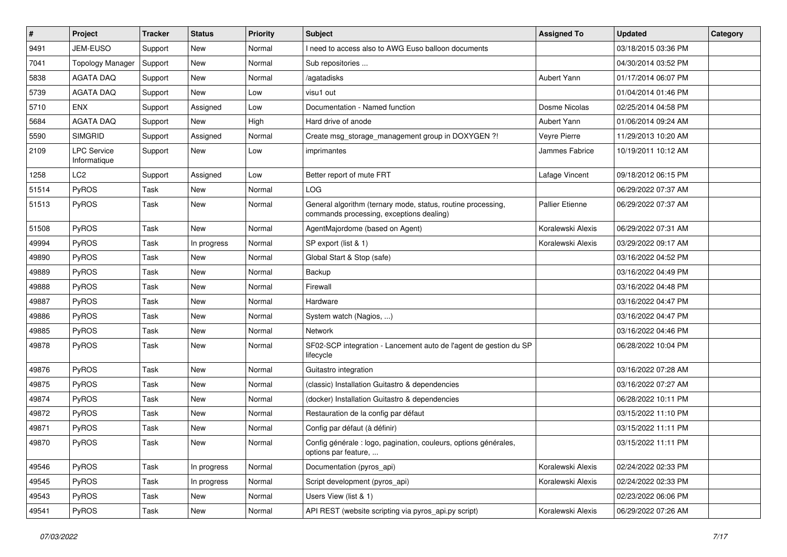| $\sharp$ | Project                            | <b>Tracker</b> | <b>Status</b> | <b>Priority</b> | Subject                                                                                                  | <b>Assigned To</b>     | <b>Updated</b>      | Category |
|----------|------------------------------------|----------------|---------------|-----------------|----------------------------------------------------------------------------------------------------------|------------------------|---------------------|----------|
| 9491     | JEM-EUSO                           | Support        | New           | Normal          | need to access also to AWG Euso balloon documents                                                        |                        | 03/18/2015 03:36 PM |          |
| 7041     | <b>Topology Manager</b>            | Support        | <b>New</b>    | Normal          | Sub repositories                                                                                         |                        | 04/30/2014 03:52 PM |          |
| 5838     | AGATA DAQ                          | Support        | New           | Normal          | agatadisks                                                                                               | Aubert Yann            | 01/17/2014 06:07 PM |          |
| 5739     | <b>AGATA DAQ</b>                   | Support        | <b>New</b>    | Low             | visu1 out                                                                                                |                        | 01/04/2014 01:46 PM |          |
| 5710     | <b>ENX</b>                         | Support        | Assigned      | Low             | Documentation - Named function                                                                           | Dosme Nicolas          | 02/25/2014 04:58 PM |          |
| 5684     | <b>AGATA DAQ</b>                   | Support        | New           | High            | Hard drive of anode                                                                                      | Aubert Yann            | 01/06/2014 09:24 AM |          |
| 5590     | <b>SIMGRID</b>                     | Support        | Assigned      | Normal          | Create msg_storage_management group in DOXYGEN ?!                                                        | Veyre Pierre           | 11/29/2013 10:20 AM |          |
| 2109     | <b>LPC Service</b><br>Informatique | Support        | New           | Low             | imprimantes                                                                                              | Jammes Fabrice         | 10/19/2011 10:12 AM |          |
| 1258     | LC <sub>2</sub>                    | Support        | Assigned      | Low             | Better report of mute FRT                                                                                | Lafage Vincent         | 09/18/2012 06:15 PM |          |
| 51514    | <b>PyROS</b>                       | Task           | New           | Normal          | LOG                                                                                                      |                        | 06/29/2022 07:37 AM |          |
| 51513    | PyROS                              | Task           | New           | Normal          | General algorithm (ternary mode, status, routine processing,<br>commands processing, exceptions dealing) | <b>Pallier Etienne</b> | 06/29/2022 07:37 AM |          |
| 51508    | <b>PyROS</b>                       | Task           | <b>New</b>    | Normal          | AgentMajordome (based on Agent)                                                                          | Koralewski Alexis      | 06/29/2022 07:31 AM |          |
| 49994    | PyROS                              | Task           | In progress   | Normal          | SP export (list & 1)                                                                                     | Koralewski Alexis      | 03/29/2022 09:17 AM |          |
| 49890    | PyROS                              | Task           | New           | Normal          | Global Start & Stop (safe)                                                                               |                        | 03/16/2022 04:52 PM |          |
| 49889    | PyROS                              | Task           | <b>New</b>    | Normal          | Backup                                                                                                   |                        | 03/16/2022 04:49 PM |          |
| 49888    | PyROS                              | Task           | <b>New</b>    | Normal          | Firewall                                                                                                 |                        | 03/16/2022 04:48 PM |          |
| 49887    | <b>PyROS</b>                       | Task           | New           | Normal          | Hardware                                                                                                 |                        | 03/16/2022 04:47 PM |          |
| 49886    | PyROS                              | Task           | <b>New</b>    | Normal          | System watch (Nagios, )                                                                                  |                        | 03/16/2022 04:47 PM |          |
| 49885    | PyROS                              | Task           | New           | Normal          | Network                                                                                                  |                        | 03/16/2022 04:46 PM |          |
| 49878    | PyROS                              | Task           | New           | Normal          | SF02-SCP integration - Lancement auto de l'agent de gestion du SP<br>lifecycle                           |                        | 06/28/2022 10:04 PM |          |
| 49876    | <b>PyROS</b>                       | Task           | New           | Normal          | Guitastro integration                                                                                    |                        | 03/16/2022 07:28 AM |          |
| 49875    | PyROS                              | Task           | <b>New</b>    | Normal          | (classic) Installation Guitastro & dependencies                                                          |                        | 03/16/2022 07:27 AM |          |
| 49874    | PyROS                              | Task           | <b>New</b>    | Normal          | (docker) Installation Guitastro & dependencies                                                           |                        | 06/28/2022 10:11 PM |          |
| 49872    | <b>PyROS</b>                       | Task           | New           | Normal          | Restauration de la config par défaut                                                                     |                        | 03/15/2022 11:10 PM |          |
| 49871    | <b>PyROS</b>                       | Task           | New           | Normal          | Config par défaut (à définir)                                                                            |                        | 03/15/2022 11:11 PM |          |
| 49870    | PyROS                              | Task           | New           | Normal          | Config générale : logo, pagination, couleurs, options générales,<br>options par feature,                 |                        | 03/15/2022 11:11 PM |          |
| 49546    | PyROS                              | Task           | In progress   | Normal          | Documentation (pyros_api)                                                                                | Koralewski Alexis      | 02/24/2022 02:33 PM |          |
| 49545    | <b>PyROS</b>                       | Task           | In progress   | Normal          | Script development (pyros api)                                                                           | Koralewski Alexis      | 02/24/2022 02:33 PM |          |
| 49543    | PyROS                              | Task           | New           | Normal          | Users View (list & 1)                                                                                    |                        | 02/23/2022 06:06 PM |          |
| 49541    | PyROS                              | Task           | New           | Normal          | API REST (website scripting via pyros_api.py script)                                                     | Koralewski Alexis      | 06/29/2022 07:26 AM |          |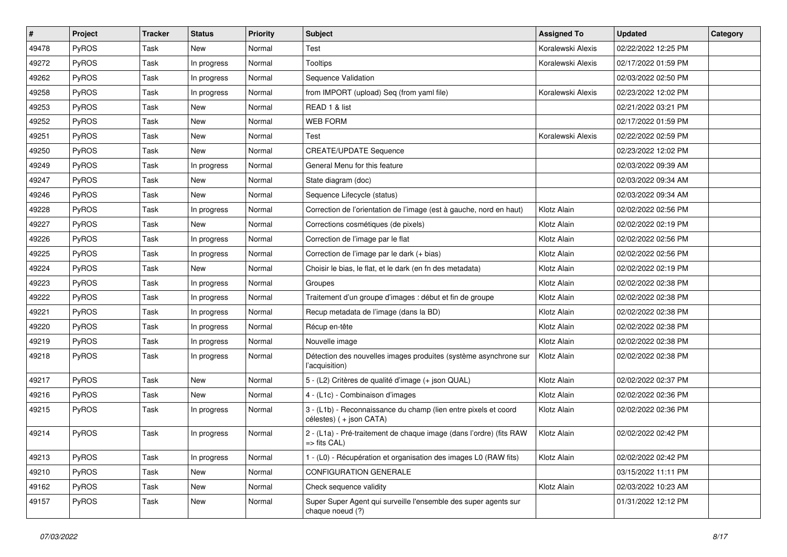| $\vert$ # | Project      | <b>Tracker</b> | <b>Status</b> | <b>Priority</b> | <b>Subject</b>                                                                              | <b>Assigned To</b> | <b>Updated</b>      | Category |
|-----------|--------------|----------------|---------------|-----------------|---------------------------------------------------------------------------------------------|--------------------|---------------------|----------|
| 49478     | <b>PyROS</b> | Task           | New           | Normal          | Test                                                                                        | Koralewski Alexis  | 02/22/2022 12:25 PM |          |
| 49272     | PyROS        | Task           | In progress   | Normal          | <b>Tooltips</b>                                                                             | Koralewski Alexis  | 02/17/2022 01:59 PM |          |
| 49262     | PyROS        | Task           | In progress   | Normal          | Sequence Validation                                                                         |                    | 02/03/2022 02:50 PM |          |
| 49258     | <b>PyROS</b> | Task           | In progress   | Normal          | from IMPORT (upload) Seq (from yaml file)                                                   | Koralewski Alexis  | 02/23/2022 12:02 PM |          |
| 49253     | <b>PyROS</b> | Task           | <b>New</b>    | Normal          | READ 1 & list                                                                               |                    | 02/21/2022 03:21 PM |          |
| 49252     | <b>PyROS</b> | Task           | New           | Normal          | <b>WEB FORM</b>                                                                             |                    | 02/17/2022 01:59 PM |          |
| 49251     | PyROS        | Task           | <b>New</b>    | Normal          | Test                                                                                        | Koralewski Alexis  | 02/22/2022 02:59 PM |          |
| 49250     | PyROS        | Task           | New           | Normal          | <b>CREATE/UPDATE Sequence</b>                                                               |                    | 02/23/2022 12:02 PM |          |
| 49249     | <b>PyROS</b> | Task           | In progress   | Normal          | General Menu for this feature                                                               |                    | 02/03/2022 09:39 AM |          |
| 49247     | PyROS        | Task           | New           | Normal          | State diagram (doc)                                                                         |                    | 02/03/2022 09:34 AM |          |
| 49246     | <b>PyROS</b> | Task           | New           | Normal          | Sequence Lifecycle (status)                                                                 |                    | 02/03/2022 09:34 AM |          |
| 49228     | PyROS        | Task           | In progress   | Normal          | Correction de l'orientation de l'image (est à gauche, nord en haut)                         | Klotz Alain        | 02/02/2022 02:56 PM |          |
| 49227     | PyROS        | Task           | <b>New</b>    | Normal          | Corrections cosmétiques (de pixels)                                                         | Klotz Alain        | 02/02/2022 02:19 PM |          |
| 49226     | PyROS        | Task           | In progress   | Normal          | Correction de l'image par le flat                                                           | Klotz Alain        | 02/02/2022 02:56 PM |          |
| 49225     | PyROS        | Task           | In progress   | Normal          | Correction de l'image par le dark (+ bias)                                                  | Klotz Alain        | 02/02/2022 02:56 PM |          |
| 49224     | PyROS        | Task           | New           | Normal          | Choisir le bias, le flat, et le dark (en fn des metadata)                                   | Klotz Alain        | 02/02/2022 02:19 PM |          |
| 49223     | PyROS        | Task           | In progress   | Normal          | Groupes                                                                                     | Klotz Alain        | 02/02/2022 02:38 PM |          |
| 49222     | PyROS        | Task           | In progress   | Normal          | Traitement d'un groupe d'images : début et fin de groupe                                    | Klotz Alain        | 02/02/2022 02:38 PM |          |
| 49221     | PyROS        | Task           | In progress   | Normal          | Recup metadata de l'image (dans la BD)                                                      | Klotz Alain        | 02/02/2022 02:38 PM |          |
| 49220     | PyROS        | Task           | In progress   | Normal          | Récup en-tête                                                                               | Klotz Alain        | 02/02/2022 02:38 PM |          |
| 49219     | PyROS        | Task           | In progress   | Normal          | Nouvelle image                                                                              | Klotz Alain        | 02/02/2022 02:38 PM |          |
| 49218     | PyROS        | Task           | In progress   | Normal          | Détection des nouvelles images produites (système asynchrone sur<br>l'acquisition)          | Klotz Alain        | 02/02/2022 02:38 PM |          |
| 49217     | <b>PyROS</b> | Task           | New           | Normal          | 5 - (L2) Critères de qualité d'image (+ json QUAL)                                          | Klotz Alain        | 02/02/2022 02:37 PM |          |
| 49216     | <b>PyROS</b> | Task           | <b>New</b>    | Normal          | 4 - (L1c) - Combinaison d'images                                                            | Klotz Alain        | 02/02/2022 02:36 PM |          |
| 49215     | <b>PyROS</b> | Task           | In progress   | Normal          | 3 - (L1b) - Reconnaissance du champ (lien entre pixels et coord<br>célestes) ( + json CATA) | Klotz Alain        | 02/02/2022 02:36 PM |          |
| 49214     | <b>PyROS</b> | Task           | In progress   | Normal          | 2 - (L1a) - Pré-traitement de chaque image (dans l'ordre) (fits RAW<br>=> fits CAL)         | Klotz Alain        | 02/02/2022 02:42 PM |          |
| 49213     | PyROS        | Task           | In progress   | Normal          | 1 - (L0) - Récupération et organisation des images L0 (RAW fits)                            | Klotz Alain        | 02/02/2022 02:42 PM |          |
| 49210     | PyROS        | Task           | New           | Normal          | <b>CONFIGURATION GENERALE</b>                                                               |                    | 03/15/2022 11:11 PM |          |
| 49162     | PyROS        | Task           | New           | Normal          | Check sequence validity                                                                     | Klotz Alain        | 02/03/2022 10:23 AM |          |
| 49157     | PyROS        | Task           | New           | Normal          | Super Super Agent qui surveille l'ensemble des super agents sur<br>chaque noeud (?)         |                    | 01/31/2022 12:12 PM |          |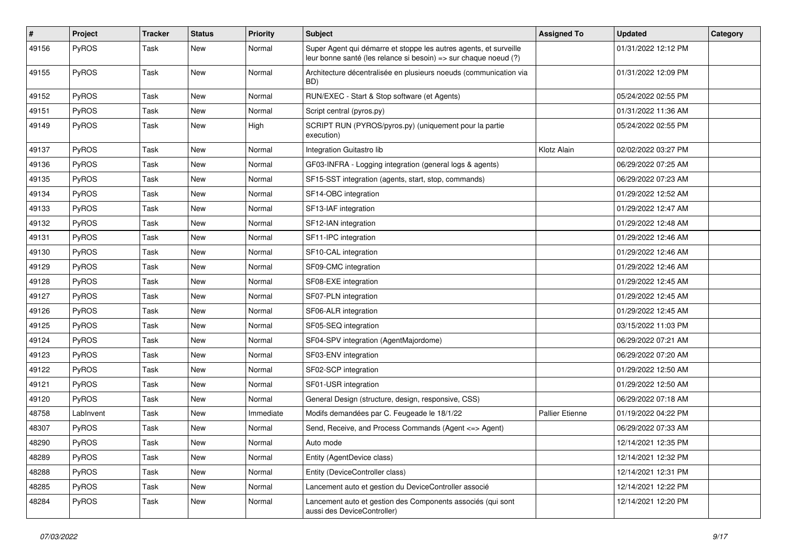| $\pmb{\#}$ | Project      | <b>Tracker</b> | <b>Status</b> | <b>Priority</b> | Subject                                                                                                                               | <b>Assigned To</b>     | <b>Updated</b>      | Category |
|------------|--------------|----------------|---------------|-----------------|---------------------------------------------------------------------------------------------------------------------------------------|------------------------|---------------------|----------|
| 49156      | <b>PyROS</b> | Task           | <b>New</b>    | Normal          | Super Agent qui démarre et stoppe les autres agents, et surveille<br>leur bonne santé (les relance si besoin) => sur chaque noeud (?) |                        | 01/31/2022 12:12 PM |          |
| 49155      | <b>PyROS</b> | Task           | <b>New</b>    | Normal          | Architecture décentralisée en plusieurs noeuds (communication via<br>BD)                                                              |                        | 01/31/2022 12:09 PM |          |
| 49152      | PyROS        | Task           | <b>New</b>    | Normal          | RUN/EXEC - Start & Stop software (et Agents)                                                                                          |                        | 05/24/2022 02:55 PM |          |
| 49151      | <b>PyROS</b> | Task           | New           | Normal          | Script central (pyros.py)                                                                                                             |                        | 01/31/2022 11:36 AM |          |
| 49149      | <b>PyROS</b> | Task           | <b>New</b>    | High            | SCRIPT RUN (PYROS/pyros.py) (uniquement pour la partie<br>execution)                                                                  |                        | 05/24/2022 02:55 PM |          |
| 49137      | PyROS        | Task           | New           | Normal          | Integration Guitastro lib                                                                                                             | Klotz Alain            | 02/02/2022 03:27 PM |          |
| 49136      | PyROS        | Task           | <b>New</b>    | Normal          | GF03-INFRA - Logging integration (general logs & agents)                                                                              |                        | 06/29/2022 07:25 AM |          |
| 49135      | <b>PyROS</b> | Task           | New           | Normal          | SF15-SST integration (agents, start, stop, commands)                                                                                  |                        | 06/29/2022 07:23 AM |          |
| 49134      | <b>PyROS</b> | Task           | <b>New</b>    | Normal          | SF14-OBC integration                                                                                                                  |                        | 01/29/2022 12:52 AM |          |
| 49133      | <b>PyROS</b> | Task           | <b>New</b>    | Normal          | SF13-IAF integration                                                                                                                  |                        | 01/29/2022 12:47 AM |          |
| 49132      | <b>PyROS</b> | Task           | New           | Normal          | SF12-IAN integration                                                                                                                  |                        | 01/29/2022 12:48 AM |          |
| 49131      | <b>PyROS</b> | Task           | New           | Normal          | SF11-IPC integration                                                                                                                  |                        | 01/29/2022 12:46 AM |          |
| 49130      | <b>PyROS</b> | Task           | New           | Normal          | SF10-CAL integration                                                                                                                  |                        | 01/29/2022 12:46 AM |          |
| 49129      | <b>PyROS</b> | Task           | New           | Normal          | SF09-CMC integration                                                                                                                  |                        | 01/29/2022 12:46 AM |          |
| 49128      | PyROS        | Task           | <b>New</b>    | Normal          | SF08-EXE integration                                                                                                                  |                        | 01/29/2022 12:45 AM |          |
| 49127      | PyROS        | Task           | <b>New</b>    | Normal          | SF07-PLN integration                                                                                                                  |                        | 01/29/2022 12:45 AM |          |
| 49126      | <b>PyROS</b> | Task           | <b>New</b>    | Normal          | SF06-ALR integration                                                                                                                  |                        | 01/29/2022 12:45 AM |          |
| 49125      | <b>PyROS</b> | Task           | New           | Normal          | SF05-SEQ integration                                                                                                                  |                        | 03/15/2022 11:03 PM |          |
| 49124      | <b>PyROS</b> | Task           | New           | Normal          | SF04-SPV integration (AgentMajordome)                                                                                                 |                        | 06/29/2022 07:21 AM |          |
| 49123      | PyROS        | Task           | <b>New</b>    | Normal          | SF03-ENV integration                                                                                                                  |                        | 06/29/2022 07:20 AM |          |
| 49122      | PyROS        | Task           | New           | Normal          | SF02-SCP integration                                                                                                                  |                        | 01/29/2022 12:50 AM |          |
| 49121      | <b>PyROS</b> | Task           | <b>New</b>    | Normal          | SF01-USR integration                                                                                                                  |                        | 01/29/2022 12:50 AM |          |
| 49120      | <b>PyROS</b> | Task           | New           | Normal          | General Design (structure, design, responsive, CSS)                                                                                   |                        | 06/29/2022 07:18 AM |          |
| 48758      | LabInvent    | Task           | <b>New</b>    | Immediate       | Modifs demandées par C. Feugeade le 18/1/22                                                                                           | <b>Pallier Etienne</b> | 01/19/2022 04:22 PM |          |
| 48307      | PyROS        | Task           | <b>New</b>    | Normal          | Send, Receive, and Process Commands (Agent <= > Agent)                                                                                |                        | 06/29/2022 07:33 AM |          |
| 48290      | <b>PyROS</b> | Task           | New           | Normal          | Auto mode                                                                                                                             |                        | 12/14/2021 12:35 PM |          |
| 48289      | PyROS        | Task           | New           | Normal          | Entity (AgentDevice class)                                                                                                            |                        | 12/14/2021 12:32 PM |          |
| 48288      | PyROS        | Task           | New           | Normal          | Entity (DeviceController class)                                                                                                       |                        | 12/14/2021 12:31 PM |          |
| 48285      | PyROS        | Task           | New           | Normal          | Lancement auto et gestion du DeviceController associé                                                                                 |                        | 12/14/2021 12:22 PM |          |
| 48284      | PyROS        | Task           | New           | Normal          | Lancement auto et gestion des Components associés (qui sont<br>aussi des DeviceController)                                            |                        | 12/14/2021 12:20 PM |          |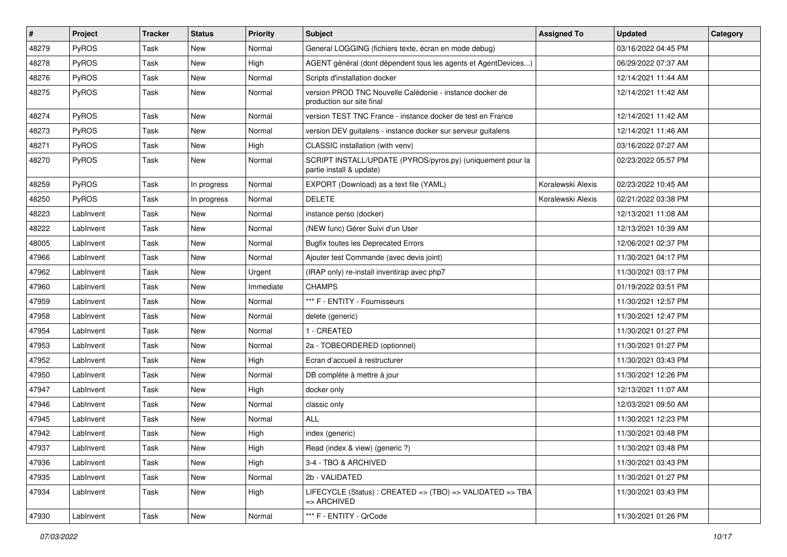| #     | Project      | <b>Tracker</b> | <b>Status</b> | <b>Priority</b> | <b>Subject</b>                                                                         | <b>Assigned To</b> | <b>Updated</b>      | Category |
|-------|--------------|----------------|---------------|-----------------|----------------------------------------------------------------------------------------|--------------------|---------------------|----------|
| 48279 | PyROS        | Task           | <b>New</b>    | Normal          | General LOGGING (fichiers texte, écran en mode debug)                                  |                    | 03/16/2022 04:45 PM |          |
| 48278 | PyROS        | Task           | <b>New</b>    | High            | AGENT général (dont dépendent tous les agents et AgentDevices)                         |                    | 06/29/2022 07:37 AM |          |
| 48276 | <b>PyROS</b> | Task           | <b>New</b>    | Normal          | Scripts d'installation docker                                                          |                    | 12/14/2021 11:44 AM |          |
| 48275 | <b>PyROS</b> | Task           | <b>New</b>    | Normal          | version PROD TNC Nouvelle Calédonie - instance docker de<br>production sur site final  |                    | 12/14/2021 11:42 AM |          |
| 48274 | PyROS        | Task           | <b>New</b>    | Normal          | version TEST TNC France - instance docker de test en France                            |                    | 12/14/2021 11:42 AM |          |
| 48273 | <b>PyROS</b> | Task           | <b>New</b>    | Normal          | version DEV guitalens - instance docker sur serveur guitalens                          |                    | 12/14/2021 11:46 AM |          |
| 48271 | <b>PyROS</b> | Task           | New           | High            | CLASSIC installation (with venv)                                                       |                    | 03/16/2022 07:27 AM |          |
| 48270 | <b>PyROS</b> | Task           | <b>New</b>    | Normal          | SCRIPT INSTALL/UPDATE (PYROS/pyros.py) (uniquement pour la<br>partie install & update) |                    | 02/23/2022 05:57 PM |          |
| 48259 | <b>PyROS</b> | Task           | In progress   | Normal          | EXPORT (Download) as a text file (YAML)                                                | Koralewski Alexis  | 02/23/2022 10:45 AM |          |
| 48250 | <b>PyROS</b> | Task           | In progress   | Normal          | <b>DELETE</b>                                                                          | Koralewski Alexis  | 02/21/2022 03:38 PM |          |
| 48223 | LabInvent    | Task           | <b>New</b>    | Normal          | instance perso (docker)                                                                |                    | 12/13/2021 11:08 AM |          |
| 48222 | LabInvent    | Task           | <b>New</b>    | Normal          | (NEW func) Gérer Suivi d'un User                                                       |                    | 12/13/2021 10:39 AM |          |
| 48005 | LabInvent    | Task           | New           | Normal          | <b>Bugfix toutes les Deprecated Errors</b>                                             |                    | 12/06/2021 02:37 PM |          |
| 47966 | LabInvent    | Task           | New           | Normal          | Ajouter test Commande (avec devis joint)                                               |                    | 11/30/2021 04:17 PM |          |
| 47962 | LabInvent    | Task           | New           | Urgent          | (IRAP only) re-install inventirap avec php7                                            |                    | 11/30/2021 03:17 PM |          |
| 47960 | LabInvent    | Task           | New           | Immediate       | <b>CHAMPS</b>                                                                          |                    | 01/19/2022 03:51 PM |          |
| 47959 | LabInvent    | Task           | New           | Normal          | *** F - ENTITY - Fournisseurs                                                          |                    | 11/30/2021 12:57 PM |          |
| 47958 | LabInvent    | Task           | New           | Normal          | delete (generic)                                                                       |                    | 11/30/2021 12:47 PM |          |
| 47954 | LabInvent    | Task           | New           | Normal          | 1 - CREATED                                                                            |                    | 11/30/2021 01:27 PM |          |
| 47953 | LabInvent    | Task           | New           | Normal          | 2a - TOBEORDERED (optionnel)                                                           |                    | 11/30/2021 01:27 PM |          |
| 47952 | LabInvent    | Task           | New           | High            | Ecran d'accueil à restructurer                                                         |                    | 11/30/2021 03:43 PM |          |
| 47950 | LabInvent    | Task           | New           | Normal          | DB complète à mettre à jour                                                            |                    | 11/30/2021 12:26 PM |          |
| 47947 | LabInvent    | Task           | New           | High            | docker only                                                                            |                    | 12/13/2021 11:07 AM |          |
| 47946 | LabInvent    | Task           | New           | Normal          | classic only                                                                           |                    | 12/03/2021 09:50 AM |          |
| 47945 | LabInvent    | Task           | New           | Normal          | ALL                                                                                    |                    | 11/30/2021 12:23 PM |          |
| 47942 | LabInvent    | Task           | New           | High            | index (generic)                                                                        |                    | 11/30/2021 03:48 PM |          |
| 47937 | LabInvent    | Task           | New           | High            | Read (index & view) (generic ?)                                                        |                    | 11/30/2021 03:48 PM |          |
| 47936 | LabInvent    | Task           | New           | High            | 3-4 - TBO & ARCHIVED                                                                   |                    | 11/30/2021 03:43 PM |          |
| 47935 | LabInvent    | Task           | New           | Normal          | 2b - VALIDATED                                                                         |                    | 11/30/2021 01:27 PM |          |
| 47934 | LabInvent    | Task           | New           | High            | LIFECYCLE (Status) : CREATED => (TBO) => VALIDATED => TBA<br>=> ARCHIVED               |                    | 11/30/2021 03:43 PM |          |
| 47930 | LabInvent    | Task           | New           | Normal          | *** F - ENTITY - QrCode                                                                |                    | 11/30/2021 01:26 PM |          |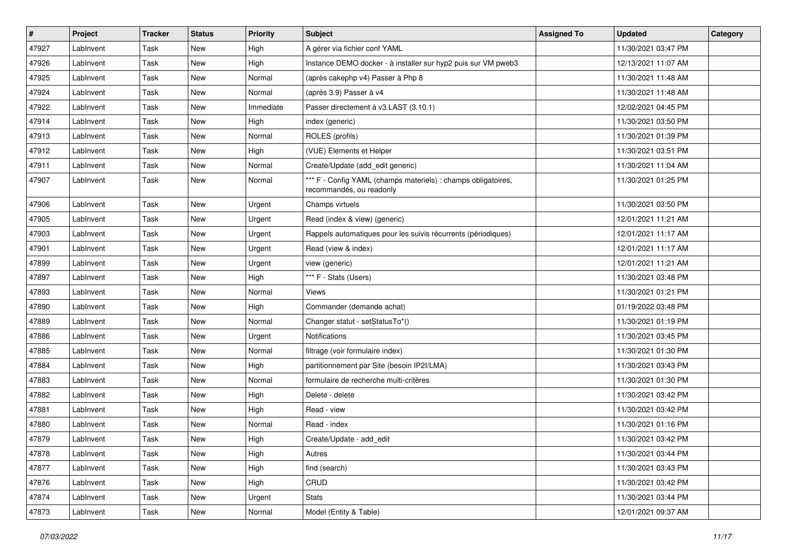| $\vert$ # | Project   | <b>Tracker</b> | <b>Status</b> | <b>Priority</b> | <b>Subject</b>                                                                            | <b>Assigned To</b> | <b>Updated</b>      | Category |
|-----------|-----------|----------------|---------------|-----------------|-------------------------------------------------------------------------------------------|--------------------|---------------------|----------|
| 47927     | LabInvent | Task           | New           | High            | A gérer via fichier conf YAML                                                             |                    | 11/30/2021 03:47 PM |          |
| 47926     | LabInvent | Task           | <b>New</b>    | High            | Instance DEMO docker - à installer sur hyp2 puis sur VM pweb3                             |                    | 12/13/2021 11:07 AM |          |
| 47925     | LabInvent | Task           | New           | Normal          | (après cakephp v4) Passer à Php 8                                                         |                    | 11/30/2021 11:48 AM |          |
| 47924     | LabInvent | Task           | <b>New</b>    | Normal          | (après 3.9) Passer à v4                                                                   |                    | 11/30/2021 11:48 AM |          |
| 47922     | LabInvent | Task           | <b>New</b>    | Immediate       | Passer directement à v3.LAST (3.10.1)                                                     |                    | 12/02/2021 04:45 PM |          |
| 47914     | LabInvent | Task           | New           | High            | index (generic)                                                                           |                    | 11/30/2021 03:50 PM |          |
| 47913     | LabInvent | Task           | New           | Normal          | ROLES (profils)                                                                           |                    | 11/30/2021 01:39 PM |          |
| 47912     | LabInvent | Task           | New           | <b>High</b>     | (VUE) Elements et Helper                                                                  |                    | 11/30/2021 03:51 PM |          |
| 47911     | LabInvent | Task           | New           | Normal          | Create/Update (add_edit generic)                                                          |                    | 11/30/2021 11:04 AM |          |
| 47907     | LabInvent | Task           | <b>New</b>    | Normal          | *** F - Config YAML (champs materiels) : champs obligatoires,<br>recommandés, ou readonly |                    | 11/30/2021 01:25 PM |          |
| 47906     | LabInvent | Task           | <b>New</b>    | Urgent          | Champs virtuels                                                                           |                    | 11/30/2021 03:50 PM |          |
| 47905     | LabInvent | Task           | <b>New</b>    | Urgent          | Read (index & view) (generic)                                                             |                    | 12/01/2021 11:21 AM |          |
| 47903     | LabInvent | Task           | New           | Urgent          | Rappels automatiques pour les suivis récurrents (périodiques)                             |                    | 12/01/2021 11:17 AM |          |
| 47901     | LabInvent | Task           | New           | Urgent          | Read (view & index)                                                                       |                    | 12/01/2021 11:17 AM |          |
| 47899     | LabInvent | Task           | <b>New</b>    | Urgent          | view (generic)                                                                            |                    | 12/01/2021 11:21 AM |          |
| 47897     | LabInvent | Task           | <b>New</b>    | High            | *** F - Stats (Users)                                                                     |                    | 11/30/2021 03:48 PM |          |
| 47893     | LabInvent | Task           | <b>New</b>    | Normal          | Views                                                                                     |                    | 11/30/2021 01:21 PM |          |
| 47890     | LabInvent | Task           | New           | High            | Commander (demande achat)                                                                 |                    | 01/19/2022 03:48 PM |          |
| 47889     | LabInvent | Task           | New           | Normal          | Changer statut - setStatusTo*()                                                           |                    | 11/30/2021 01:19 PM |          |
| 47886     | LabInvent | Task           | New           | Urgent          | Notifications                                                                             |                    | 11/30/2021 03:45 PM |          |
| 47885     | LabInvent | Task           | <b>New</b>    | Normal          | filtrage (voir formulaire index)                                                          |                    | 11/30/2021 01:30 PM |          |
| 47884     | LabInvent | Task           | New           | High            | partitionnement par Site (besoin IP2I/LMA)                                                |                    | 11/30/2021 03:43 PM |          |
| 47883     | LabInvent | Task           | New           | Normal          | formulaire de recherche multi-critères                                                    |                    | 11/30/2021 01:30 PM |          |
| 47882     | LabInvent | Task           | <b>New</b>    | High            | Delete - delete                                                                           |                    | 11/30/2021 03:42 PM |          |
| 47881     | LabInvent | Task           | New           | <b>High</b>     | Read - view                                                                               |                    | 11/30/2021 03:42 PM |          |
| 47880     | LabInvent | Task           | New           | Normal          | Read - index                                                                              |                    | 11/30/2021 01:16 PM |          |
| 47879     | LabInvent | Task           | <b>New</b>    | High            | Create/Update - add_edit                                                                  |                    | 11/30/2021 03:42 PM |          |
| 47878     | LabInvent | Task           | New           | High            | Autres                                                                                    |                    | 11/30/2021 03:44 PM |          |
| 47877     | LabInvent | Task           | New           | High            | find (search)                                                                             |                    | 11/30/2021 03:43 PM |          |
| 47876     | LabInvent | Task           | New           | High            | CRUD                                                                                      |                    | 11/30/2021 03:42 PM |          |
| 47874     | LabInvent | Task           | New           | Urgent          | Stats                                                                                     |                    | 11/30/2021 03:44 PM |          |
| 47873     | LabInvent | Task           | New           | Normal          | Model (Entity & Table)                                                                    |                    | 12/01/2021 09:37 AM |          |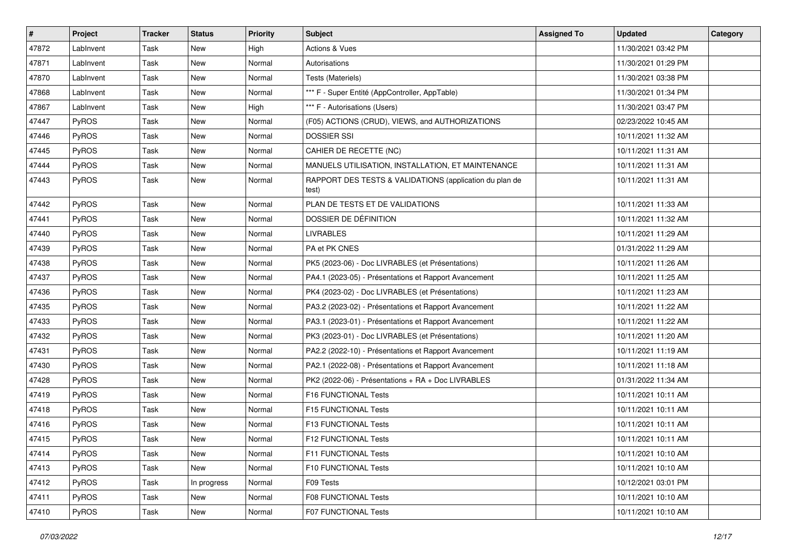| #     | Project      | <b>Tracker</b> | <b>Status</b> | <b>Priority</b> | <b>Subject</b>                                                   | <b>Assigned To</b> | <b>Updated</b>      | Category |
|-------|--------------|----------------|---------------|-----------------|------------------------------------------------------------------|--------------------|---------------------|----------|
| 47872 | LabInvent    | Task           | New           | High            | <b>Actions &amp; Vues</b>                                        |                    | 11/30/2021 03:42 PM |          |
| 47871 | LabInvent    | Task           | <b>New</b>    | Normal          | Autorisations                                                    |                    | 11/30/2021 01:29 PM |          |
| 47870 | LabInvent    | Task           | New           | Normal          | Tests (Materiels)                                                |                    | 11/30/2021 03:38 PM |          |
| 47868 | LabInvent    | Task           | New           | Normal          | *** F - Super Entité (AppController, AppTable)                   |                    | 11/30/2021 01:34 PM |          |
| 47867 | LabInvent    | Task           | New           | High            | *** F - Autorisations (Users)                                    |                    | 11/30/2021 03:47 PM |          |
| 47447 | <b>PyROS</b> | Task           | New           | Normal          | (F05) ACTIONS (CRUD), VIEWS, and AUTHORIZATIONS                  |                    | 02/23/2022 10:45 AM |          |
| 47446 | <b>PyROS</b> | Task           | New           | Normal          | <b>DOSSIER SSI</b>                                               |                    | 10/11/2021 11:32 AM |          |
| 47445 | <b>PyROS</b> | Task           | New           | Normal          | CAHIER DE RECETTE (NC)                                           |                    | 10/11/2021 11:31 AM |          |
| 47444 | <b>PyROS</b> | Task           | New           | Normal          | MANUELS UTILISATION, INSTALLATION, ET MAINTENANCE                |                    | 10/11/2021 11:31 AM |          |
| 47443 | PyROS        | Task           | <b>New</b>    | Normal          | RAPPORT DES TESTS & VALIDATIONS (application du plan de<br>test) |                    | 10/11/2021 11:31 AM |          |
| 47442 | PyROS        | Task           | New           | Normal          | PLAN DE TESTS ET DE VALIDATIONS                                  |                    | 10/11/2021 11:33 AM |          |
| 47441 | PyROS        | Task           | New           | Normal          | DOSSIER DE DÉFINITION                                            |                    | 10/11/2021 11:32 AM |          |
| 47440 | PyROS        | Task           | New           | Normal          | <b>LIVRABLES</b>                                                 |                    | 10/11/2021 11:29 AM |          |
| 47439 | PyROS        | Task           | <b>New</b>    | Normal          | PA et PK CNES                                                    |                    | 01/31/2022 11:29 AM |          |
| 47438 | PyROS        | Task           | <b>New</b>    | Normal          | PK5 (2023-06) - Doc LIVRABLES (et Présentations)                 |                    | 10/11/2021 11:26 AM |          |
| 47437 | PyROS        | Task           | New           | Normal          | PA4.1 (2023-05) - Présentations et Rapport Avancement            |                    | 10/11/2021 11:25 AM |          |
| 47436 | PyROS        | Task           | <b>New</b>    | Normal          | PK4 (2023-02) - Doc LIVRABLES (et Présentations)                 |                    | 10/11/2021 11:23 AM |          |
| 47435 | <b>PyROS</b> | Task           | New           | Normal          | PA3.2 (2023-02) - Présentations et Rapport Avancement            |                    | 10/11/2021 11:22 AM |          |
| 47433 | PyROS        | Task           | <b>New</b>    | Normal          | PA3.1 (2023-01) - Présentations et Rapport Avancement            |                    | 10/11/2021 11:22 AM |          |
| 47432 | PyROS        | Task           | New           | Normal          | PK3 (2023-01) - Doc LIVRABLES (et Présentations)                 |                    | 10/11/2021 11:20 AM |          |
| 47431 | PyROS        | Task           | New           | Normal          | PA2.2 (2022-10) - Présentations et Rapport Avancement            |                    | 10/11/2021 11:19 AM |          |
| 47430 | PyROS        | Task           | <b>New</b>    | Normal          | PA2.1 (2022-08) - Présentations et Rapport Avancement            |                    | 10/11/2021 11:18 AM |          |
| 47428 | <b>PyROS</b> | Task           | New           | Normal          | PK2 (2022-06) - Présentations + RA + Doc LIVRABLES               |                    | 01/31/2022 11:34 AM |          |
| 47419 | PyROS        | Task           | <b>New</b>    | Normal          | F16 FUNCTIONAL Tests                                             |                    | 10/11/2021 10:11 AM |          |
| 47418 | PyROS        | Task           | New           | Normal          | F15 FUNCTIONAL Tests                                             |                    | 10/11/2021 10:11 AM |          |
| 47416 | <b>PyROS</b> | Task           | New           | Normal          | <b>F13 FUNCTIONAL Tests</b>                                      |                    | 10/11/2021 10:11 AM |          |
| 47415 | PyROS        | Task           | <b>New</b>    | Normal          | F12 FUNCTIONAL Tests                                             |                    | 10/11/2021 10:11 AM |          |
| 47414 | <b>PyROS</b> | Task           | New           | Normal          | <b>F11 FUNCTIONAL Tests</b>                                      |                    | 10/11/2021 10:10 AM |          |
| 47413 | PyROS        | Task           | New           | Normal          | F10 FUNCTIONAL Tests                                             |                    | 10/11/2021 10:10 AM |          |
| 47412 | <b>PyROS</b> | Task           | In progress   | Normal          | F09 Tests                                                        |                    | 10/12/2021 03:01 PM |          |
| 47411 | PyROS        | Task           | New           | Normal          | F08 FUNCTIONAL Tests                                             |                    | 10/11/2021 10:10 AM |          |
| 47410 | PyROS        | Task           | New           | Normal          | <b>F07 FUNCTIONAL Tests</b>                                      |                    | 10/11/2021 10:10 AM |          |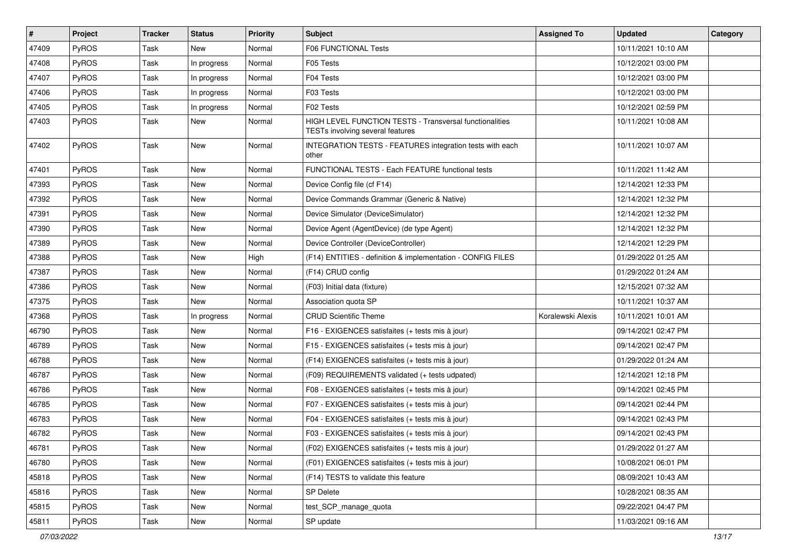| $\vert$ # | Project | <b>Tracker</b> | <b>Status</b> | <b>Priority</b> | <b>Subject</b>                                                                                     | <b>Assigned To</b> | <b>Updated</b>      | Category |
|-----------|---------|----------------|---------------|-----------------|----------------------------------------------------------------------------------------------------|--------------------|---------------------|----------|
| 47409     | PyROS   | Task           | <b>New</b>    | Normal          | <b>F06 FUNCTIONAL Tests</b>                                                                        |                    | 10/11/2021 10:10 AM |          |
| 47408     | PyROS   | Task           | In progress   | Normal          | F05 Tests                                                                                          |                    | 10/12/2021 03:00 PM |          |
| 47407     | PyROS   | Task           | In progress   | Normal          | F04 Tests                                                                                          |                    | 10/12/2021 03:00 PM |          |
| 47406     | PyROS   | Task           | In progress   | Normal          | F03 Tests                                                                                          |                    | 10/12/2021 03:00 PM |          |
| 47405     | PyROS   | Task           | In progress   | Normal          | F02 Tests                                                                                          |                    | 10/12/2021 02:59 PM |          |
| 47403     | PyROS   | Task           | <b>New</b>    | Normal          | HIGH LEVEL FUNCTION TESTS - Transversal functionalities<br><b>TESTs involving several features</b> |                    | 10/11/2021 10:08 AM |          |
| 47402     | PyROS   | Task           | <b>New</b>    | Normal          | INTEGRATION TESTS - FEATURES integration tests with each<br>other                                  |                    | 10/11/2021 10:07 AM |          |
| 47401     | PyROS   | Task           | <b>New</b>    | Normal          | FUNCTIONAL TESTS - Each FEATURE functional tests                                                   |                    | 10/11/2021 11:42 AM |          |
| 47393     | PyROS   | Task           | <b>New</b>    | Normal          | Device Config file (cf F14)                                                                        |                    | 12/14/2021 12:33 PM |          |
| 47392     | PyROS   | Task           | New           | Normal          | Device Commands Grammar (Generic & Native)                                                         |                    | 12/14/2021 12:32 PM |          |
| 47391     | PyROS   | Task           | <b>New</b>    | Normal          | Device Simulator (DeviceSimulator)                                                                 |                    | 12/14/2021 12:32 PM |          |
| 47390     | PyROS   | Task           | <b>New</b>    | Normal          | Device Agent (AgentDevice) (de type Agent)                                                         |                    | 12/14/2021 12:32 PM |          |
| 47389     | PyROS   | Task           | <b>New</b>    | Normal          | Device Controller (DeviceController)                                                               |                    | 12/14/2021 12:29 PM |          |
| 47388     | PyROS   | Task           | New           | High            | (F14) ENTITIES - definition & implementation - CONFIG FILES                                        |                    | 01/29/2022 01:25 AM |          |
| 47387     | PyROS   | Task           | <b>New</b>    | Normal          | (F14) CRUD config                                                                                  |                    | 01/29/2022 01:24 AM |          |
| 47386     | PyROS   | Task           | <b>New</b>    | Normal          | (F03) Initial data (fixture)                                                                       |                    | 12/15/2021 07:32 AM |          |
| 47375     | PyROS   | Task           | New           | Normal          | Association quota SP                                                                               |                    | 10/11/2021 10:37 AM |          |
| 47368     | PyROS   | Task           | In progress   | Normal          | <b>CRUD Scientific Theme</b>                                                                       | Koralewski Alexis  | 10/11/2021 10:01 AM |          |
| 46790     | PyROS   | Task           | <b>New</b>    | Normal          | F16 - EXIGENCES satisfaites (+ tests mis à jour)                                                   |                    | 09/14/2021 02:47 PM |          |
| 46789     | PyROS   | Task           | <b>New</b>    | Normal          | F15 - EXIGENCES satisfaites (+ tests mis à jour)                                                   |                    | 09/14/2021 02:47 PM |          |
| 46788     | PyROS   | Task           | <b>New</b>    | Normal          | (F14) EXIGENCES satisfaites (+ tests mis à jour)                                                   |                    | 01/29/2022 01:24 AM |          |
| 46787     | PyROS   | Task           | <b>New</b>    | Normal          | (F09) REQUIREMENTS validated (+ tests udpated)                                                     |                    | 12/14/2021 12:18 PM |          |
| 46786     | PyROS   | Task           | <b>New</b>    | Normal          | F08 - EXIGENCES satisfaites (+ tests mis à jour)                                                   |                    | 09/14/2021 02:45 PM |          |
| 46785     | PyROS   | Task           | <b>New</b>    | Normal          | F07 - EXIGENCES satisfaites (+ tests mis à jour)                                                   |                    | 09/14/2021 02:44 PM |          |
| 46783     | PyROS   | Task           | <b>New</b>    | Normal          | F04 - EXIGENCES satisfaites (+ tests mis à jour)                                                   |                    | 09/14/2021 02:43 PM |          |
| 46782     | PyROS   | Task           | <b>New</b>    | Normal          | F03 - EXIGENCES satisfaites (+ tests mis à jour)                                                   |                    | 09/14/2021 02:43 PM |          |
| 46781     | PyROS   | Task           | New           | Normal          | (F02) EXIGENCES satisfaites (+ tests mis à jour)                                                   |                    | 01/29/2022 01:27 AM |          |
| 46780     | PyROS   | Task           | New           | Normal          | (F01) EXIGENCES satisfaites (+ tests mis à jour)                                                   |                    | 10/08/2021 06:01 PM |          |
| 45818     | PyROS   | Task           | New           | Normal          | (F14) TESTS to validate this feature                                                               |                    | 08/09/2021 10:43 AM |          |
| 45816     | PyROS   | Task           | New           | Normal          | <b>SP Delete</b>                                                                                   |                    | 10/28/2021 08:35 AM |          |
| 45815     | PyROS   | Task           | New           | Normal          | test_SCP_manage_quota                                                                              |                    | 09/22/2021 04:47 PM |          |
| 45811     | PyROS   | Task           | New           | Normal          | SP update                                                                                          |                    | 11/03/2021 09:16 AM |          |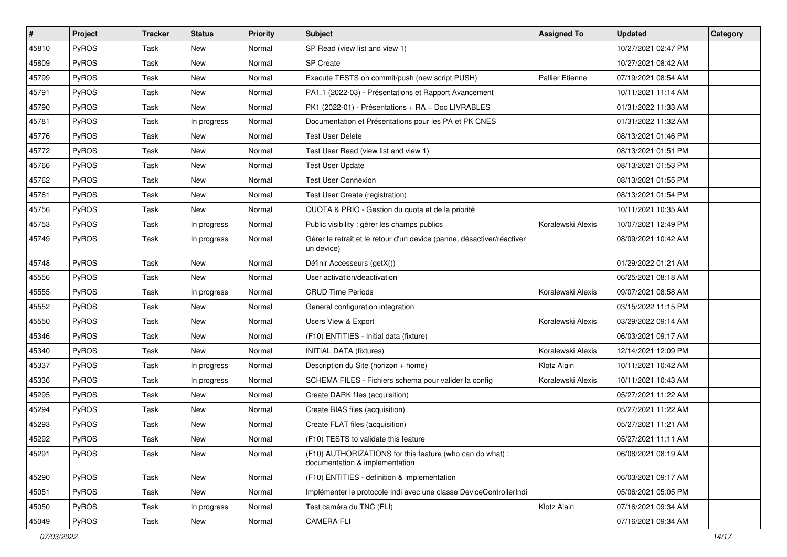| #     | Project      | <b>Tracker</b> | <b>Status</b> | <b>Priority</b> | <b>Subject</b>                                                                              | <b>Assigned To</b>     | <b>Updated</b>      | Category |
|-------|--------------|----------------|---------------|-----------------|---------------------------------------------------------------------------------------------|------------------------|---------------------|----------|
| 45810 | PyROS        | Task           | <b>New</b>    | Normal          | SP Read (view list and view 1)                                                              |                        | 10/27/2021 02:47 PM |          |
| 45809 | PyROS        | Task           | <b>New</b>    | Normal          | SP Create                                                                                   |                        | 10/27/2021 08:42 AM |          |
| 45799 | <b>PyROS</b> | Task           | New           | Normal          | Execute TESTS on commit/push (new script PUSH)                                              | <b>Pallier Etienne</b> | 07/19/2021 08:54 AM |          |
| 45791 | <b>PyROS</b> | Task           | New           | Normal          | PA1.1 (2022-03) - Présentations et Rapport Avancement                                       |                        | 10/11/2021 11:14 AM |          |
| 45790 | PyROS        | Task           | <b>New</b>    | Normal          | PK1 (2022-01) - Présentations + RA + Doc LIVRABLES                                          |                        | 01/31/2022 11:33 AM |          |
| 45781 | <b>PyROS</b> | Task           | In progress   | Normal          | Documentation et Présentations pour les PA et PK CNES                                       |                        | 01/31/2022 11:32 AM |          |
| 45776 | <b>PyROS</b> | Task           | <b>New</b>    | Normal          | Test User Delete                                                                            |                        | 08/13/2021 01:46 PM |          |
| 45772 | <b>PyROS</b> | Task           | New           | Normal          | Test User Read (view list and view 1)                                                       |                        | 08/13/2021 01:51 PM |          |
| 45766 | <b>PyROS</b> | Task           | New           | Normal          | <b>Test User Update</b>                                                                     |                        | 08/13/2021 01:53 PM |          |
| 45762 | PyROS        | Task           | <b>New</b>    | Normal          | <b>Test User Connexion</b>                                                                  |                        | 08/13/2021 01:55 PM |          |
| 45761 | PyROS        | Task           | New           | Normal          | Test User Create (registration)                                                             |                        | 08/13/2021 01:54 PM |          |
| 45756 | <b>PyROS</b> | Task           | <b>New</b>    | Normal          | QUOTA & PRIO - Gestion du quota et de la priorité                                           |                        | 10/11/2021 10:35 AM |          |
| 45753 | <b>PyROS</b> | Task           | In progress   | Normal          | Public visibility : gérer les champs publics                                                | Koralewski Alexis      | 10/07/2021 12:49 PM |          |
| 45749 | <b>PyROS</b> | Task           | In progress   | Normal          | Gérer le retrait et le retour d'un device (panne, désactiver/réactiver<br>un device)        |                        | 08/09/2021 10:42 AM |          |
| 45748 | <b>PyROS</b> | Task           | New           | Normal          | Définir Accesseurs (getX())                                                                 |                        | 01/29/2022 01:21 AM |          |
| 45556 | <b>PyROS</b> | Task           | <b>New</b>    | Normal          | User activation/deactivation                                                                |                        | 06/25/2021 08:18 AM |          |
| 45555 | PyROS        | Task           | In progress   | Normal          | <b>CRUD Time Periods</b>                                                                    | Koralewski Alexis      | 09/07/2021 08:58 AM |          |
| 45552 | PyROS        | Task           | New           | Normal          | General configuration integration                                                           |                        | 03/15/2022 11:15 PM |          |
| 45550 | <b>PyROS</b> | Task           | <b>New</b>    | Normal          | Users View & Export                                                                         | Koralewski Alexis      | 03/29/2022 09:14 AM |          |
| 45346 | <b>PyROS</b> | Task           | New           | Normal          | (F10) ENTITIES - Initial data (fixture)                                                     |                        | 06/03/2021 09:17 AM |          |
| 45340 | <b>PyROS</b> | Task           | New           | Normal          | <b>INITIAL DATA (fixtures)</b>                                                              | Koralewski Alexis      | 12/14/2021 12:09 PM |          |
| 45337 | PyROS        | Task           | In progress   | Normal          | Description du Site (horizon + home)                                                        | Klotz Alain            | 10/11/2021 10:42 AM |          |
| 45336 | PyROS        | Task           | In progress   | Normal          | SCHEMA FILES - Fichiers schema pour valider la config                                       | Koralewski Alexis      | 10/11/2021 10:43 AM |          |
| 45295 | <b>PyROS</b> | Task           | New           | Normal          | Create DARK files (acquisition)                                                             |                        | 05/27/2021 11:22 AM |          |
| 45294 | <b>PyROS</b> | Task           | New           | Normal          | Create BIAS files (acquisition)                                                             |                        | 05/27/2021 11:22 AM |          |
| 45293 | PyROS        | Task           | New           | Normal          | Create FLAT files (acquisition)                                                             |                        | 05/27/2021 11:21 AM |          |
| 45292 | PyROS        | Task           | <b>New</b>    | Normal          | (F10) TESTS to validate this feature                                                        |                        | 05/27/2021 11:11 AM |          |
| 45291 | <b>PyROS</b> | Task           | New           | Normal          | (F10) AUTHORIZATIONS for this feature (who can do what) :<br>documentation & implementation |                        | 06/08/2021 08:19 AM |          |
| 45290 | PyROS        | Task           | New           | Normal          | (F10) ENTITIES - definition & implementation                                                |                        | 06/03/2021 09:17 AM |          |
| 45051 | PyROS        | Task           | New           | Normal          | Implémenter le protocole Indi avec une classe DeviceControllerIndi                          |                        | 05/06/2021 05:05 PM |          |
| 45050 | PyROS        | Task           | In progress   | Normal          | Test caméra du TNC (FLI)                                                                    | Klotz Alain            | 07/16/2021 09:34 AM |          |
| 45049 | PyROS        | Task           | New           | Normal          | <b>CAMERA FLI</b>                                                                           |                        | 07/16/2021 09:34 AM |          |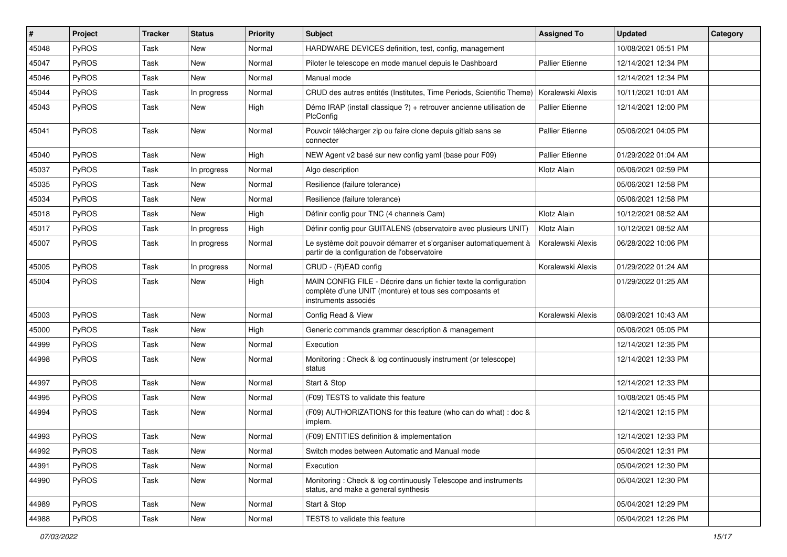| #     | Project      | <b>Tracker</b> | <b>Status</b> | <b>Priority</b> | <b>Subject</b>                                                                                                                                       | <b>Assigned To</b>     | <b>Updated</b>      | Category |
|-------|--------------|----------------|---------------|-----------------|------------------------------------------------------------------------------------------------------------------------------------------------------|------------------------|---------------------|----------|
| 45048 | PyROS        | Task           | New           | Normal          | HARDWARE DEVICES definition, test, config, management                                                                                                |                        | 10/08/2021 05:51 PM |          |
| 45047 | PyROS        | Task           | <b>New</b>    | Normal          | Piloter le telescope en mode manuel depuis le Dashboard                                                                                              | <b>Pallier Etienne</b> | 12/14/2021 12:34 PM |          |
| 45046 | <b>PyROS</b> | Task           | <b>New</b>    | Normal          | Manual mode                                                                                                                                          |                        | 12/14/2021 12:34 PM |          |
| 45044 | PyROS        | Task           | In progress   | Normal          | CRUD des autres entités (Institutes, Time Periods, Scientific Theme)   Koralewski Alexis                                                             |                        | 10/11/2021 10:01 AM |          |
| 45043 | PyROS        | Task           | <b>New</b>    | High            | Démo IRAP (install classique ?) + retrouver ancienne utilisation de<br>PlcConfig                                                                     | <b>Pallier Etienne</b> | 12/14/2021 12:00 PM |          |
| 45041 | PyROS        | Task           | <b>New</b>    | Normal          | Pouvoir télécharger zip ou faire clone depuis gitlab sans se<br>connecter                                                                            | <b>Pallier Etienne</b> | 05/06/2021 04:05 PM |          |
| 45040 | PyROS        | Task           | <b>New</b>    | High            | NEW Agent v2 basé sur new config yaml (base pour F09)                                                                                                | <b>Pallier Etienne</b> | 01/29/2022 01:04 AM |          |
| 45037 | PyROS        | Task           | In progress   | Normal          | Algo description                                                                                                                                     | Klotz Alain            | 05/06/2021 02:59 PM |          |
| 45035 | <b>PyROS</b> | Task           | <b>New</b>    | Normal          | Resilience (failure tolerance)                                                                                                                       |                        | 05/06/2021 12:58 PM |          |
| 45034 | PyROS        | Task           | New           | Normal          | Resilience (failure tolerance)                                                                                                                       |                        | 05/06/2021 12:58 PM |          |
| 45018 | PyROS        | Task           | <b>New</b>    | High            | Définir config pour TNC (4 channels Cam)                                                                                                             | Klotz Alain            | 10/12/2021 08:52 AM |          |
| 45017 | PyROS        | Task           | In progress   | High            | Définir config pour GUITALENS (observatoire avec plusieurs UNIT)                                                                                     | Klotz Alain            | 10/12/2021 08:52 AM |          |
| 45007 | PyROS        | Task           | In progress   | Normal          | Le système doit pouvoir démarrer et s'organiser automatiquement à<br>partir de la configuration de l'observatoire                                    | Koralewski Alexis      | 06/28/2022 10:06 PM |          |
| 45005 | PyROS        | Task           | In progress   | Normal          | CRUD - (R)EAD config                                                                                                                                 | Koralewski Alexis      | 01/29/2022 01:24 AM |          |
| 45004 | PyROS        | Task           | New           | High            | MAIN CONFIG FILE - Décrire dans un fichier texte la configuration<br>complète d'une UNIT (monture) et tous ses composants et<br>instruments associés |                        | 01/29/2022 01:25 AM |          |
| 45003 | PyROS        | Task           | <b>New</b>    | Normal          | Config Read & View                                                                                                                                   | Koralewski Alexis      | 08/09/2021 10:43 AM |          |
| 45000 | <b>PyROS</b> | Task           | New           | High            | Generic commands grammar description & management                                                                                                    |                        | 05/06/2021 05:05 PM |          |
| 44999 | PyROS        | Task           | New           | Normal          | Execution                                                                                                                                            |                        | 12/14/2021 12:35 PM |          |
| 44998 | PyROS        | Task           | New           | Normal          | Monitoring: Check & log continuously instrument (or telescope)<br>status                                                                             |                        | 12/14/2021 12:33 PM |          |
| 44997 | PyROS        | Task           | <b>New</b>    | Normal          | Start & Stop                                                                                                                                         |                        | 12/14/2021 12:33 PM |          |
| 44995 | PyROS        | Task           | New           | Normal          | (F09) TESTS to validate this feature                                                                                                                 |                        | 10/08/2021 05:45 PM |          |
| 44994 | <b>PyROS</b> | Task           | New           | Normal          | (F09) AUTHORIZATIONS for this feature (who can do what) : doc &<br>implem.                                                                           |                        | 12/14/2021 12:15 PM |          |
| 44993 | PyROS        | Task           | New           | Normal          | (F09) ENTITIES definition & implementation                                                                                                           |                        | 12/14/2021 12:33 PM |          |
| 44992 | PyROS        | Task           | New           | Normal          | Switch modes between Automatic and Manual mode                                                                                                       |                        | 05/04/2021 12:31 PM |          |
| 44991 | PyROS        | Task           | New           | Normal          | Execution                                                                                                                                            |                        | 05/04/2021 12:30 PM |          |
| 44990 | PyROS        | Task           | New           | Normal          | Monitoring: Check & log continuously Telescope and instruments<br>status, and make a general synthesis                                               |                        | 05/04/2021 12:30 PM |          |
| 44989 | PyROS        | Task           | New           | Normal          | Start & Stop                                                                                                                                         |                        | 05/04/2021 12:29 PM |          |
| 44988 | PyROS        | Task           | New           | Normal          | TESTS to validate this feature                                                                                                                       |                        | 05/04/2021 12:26 PM |          |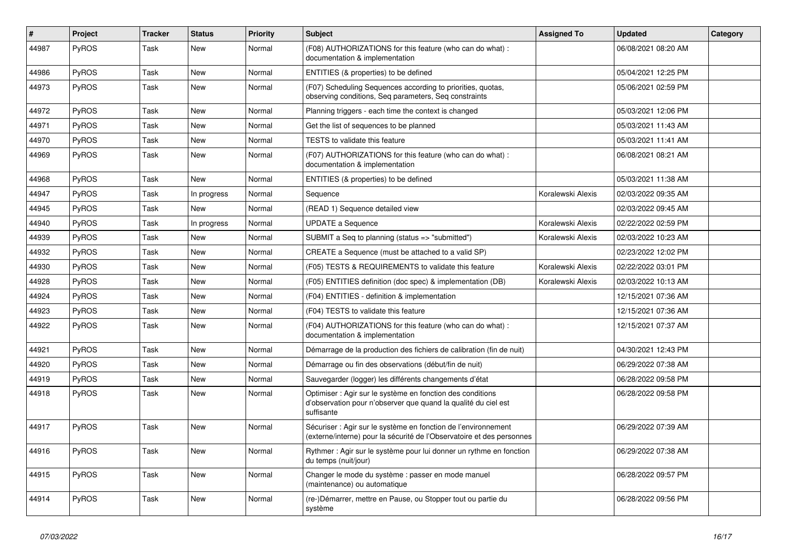| #     | Project      | <b>Tracker</b> | <b>Status</b> | <b>Priority</b> | <b>Subject</b>                                                                                                                             | <b>Assigned To</b> | Updated             | Category |
|-------|--------------|----------------|---------------|-----------------|--------------------------------------------------------------------------------------------------------------------------------------------|--------------------|---------------------|----------|
| 44987 | PyROS        | Task           | <b>New</b>    | Normal          | (F08) AUTHORIZATIONS for this feature (who can do what) :<br>documentation & implementation                                                |                    | 06/08/2021 08:20 AM |          |
| 44986 | PyROS        | Task           | <b>New</b>    | Normal          | ENTITIES (& properties) to be defined                                                                                                      |                    | 05/04/2021 12:25 PM |          |
| 44973 | PyROS        | Task           | New           | Normal          | (F07) Scheduling Sequences according to priorities, quotas,<br>observing conditions, Seq parameters, Seq constraints                       |                    | 05/06/2021 02:59 PM |          |
| 44972 | PyROS        | Task           | <b>New</b>    | Normal          | Planning triggers - each time the context is changed                                                                                       |                    | 05/03/2021 12:06 PM |          |
| 44971 | <b>PyROS</b> | Task           | New           | Normal          | Get the list of sequences to be planned                                                                                                    |                    | 05/03/2021 11:43 AM |          |
| 44970 | PyROS        | Task           | <b>New</b>    | Normal          | <b>TESTS to validate this feature</b>                                                                                                      |                    | 05/03/2021 11:41 AM |          |
| 44969 | PyROS        | Task           | New           | Normal          | (F07) AUTHORIZATIONS for this feature (who can do what) :<br>documentation & implementation                                                |                    | 06/08/2021 08:21 AM |          |
| 44968 | PyROS        | Task           | <b>New</b>    | Normal          | ENTITIES (& properties) to be defined                                                                                                      |                    | 05/03/2021 11:38 AM |          |
| 44947 | PyROS        | Task           | In progress   | Normal          | Sequence                                                                                                                                   | Koralewski Alexis  | 02/03/2022 09:35 AM |          |
| 44945 | PyROS        | Task           | <b>New</b>    | Normal          | (READ 1) Sequence detailed view                                                                                                            |                    | 02/03/2022 09:45 AM |          |
| 44940 | <b>PyROS</b> | Task           | In progress   | Normal          | <b>UPDATE a Sequence</b>                                                                                                                   | Koralewski Alexis  | 02/22/2022 02:59 PM |          |
| 44939 | <b>PyROS</b> | Task           | <b>New</b>    | Normal          | SUBMIT a Seq to planning (status => "submitted")                                                                                           | Koralewski Alexis  | 02/03/2022 10:23 AM |          |
| 44932 | PyROS        | Task           | <b>New</b>    | Normal          | CREATE a Sequence (must be attached to a valid SP)                                                                                         |                    | 02/23/2022 12:02 PM |          |
| 44930 | PyROS        | Task           | <b>New</b>    | Normal          | (F05) TESTS & REQUIREMENTS to validate this feature                                                                                        | Koralewski Alexis  | 02/22/2022 03:01 PM |          |
| 44928 | PyROS        | Task           | <b>New</b>    | Normal          | (F05) ENTITIES definition (doc spec) & implementation (DB)                                                                                 | Koralewski Alexis  | 02/03/2022 10:13 AM |          |
| 44924 | PyROS        | Task           | <b>New</b>    | Normal          | (F04) ENTITIES - definition & implementation                                                                                               |                    | 12/15/2021 07:36 AM |          |
| 44923 | PyROS        | Task           | <b>New</b>    | Normal          | (F04) TESTS to validate this feature                                                                                                       |                    | 12/15/2021 07:36 AM |          |
| 44922 | PyROS        | Task           | <b>New</b>    | Normal          | (F04) AUTHORIZATIONS for this feature (who can do what) :<br>documentation & implementation                                                |                    | 12/15/2021 07:37 AM |          |
| 44921 | PyROS        | Task           | <b>New</b>    | Normal          | Démarrage de la production des fichiers de calibration (fin de nuit)                                                                       |                    | 04/30/2021 12:43 PM |          |
| 44920 | <b>PyROS</b> | Task           | <b>New</b>    | Normal          | Démarrage ou fin des observations (début/fin de nuit)                                                                                      |                    | 06/29/2022 07:38 AM |          |
| 44919 | <b>PyROS</b> | Task           | <b>New</b>    | Normal          | Sauvegarder (logger) les différents changements d'état                                                                                     |                    | 06/28/2022 09:58 PM |          |
| 44918 | PyROS        | Task           | <b>New</b>    | Normal          | Optimiser : Agir sur le système en fonction des conditions<br>d'observation pour n'observer que quand la qualité du ciel est<br>suffisante |                    | 06/28/2022 09:58 PM |          |
| 44917 | <b>PyROS</b> | Task           | <b>New</b>    | Normal          | Sécuriser : Agir sur le système en fonction de l'environnement<br>(externe/interne) pour la sécurité de l'Observatoire et des personnes    |                    | 06/29/2022 07:39 AM |          |
| 44916 | PyROS        | Task           | <b>New</b>    | Normal          | Rythmer: Agir sur le système pour lui donner un rythme en fonction<br>du temps (nuit/jour)                                                 |                    | 06/29/2022 07:38 AM |          |
| 44915 | <b>PyROS</b> | Task           | New           | Normal          | Changer le mode du système : passer en mode manuel<br>(maintenance) ou automatique                                                         |                    | 06/28/2022 09:57 PM |          |
| 44914 | <b>PyROS</b> | Task           | <b>New</b>    | Normal          | (re-)Démarrer, mettre en Pause, ou Stopper tout ou partie du<br>système                                                                    |                    | 06/28/2022 09:56 PM |          |